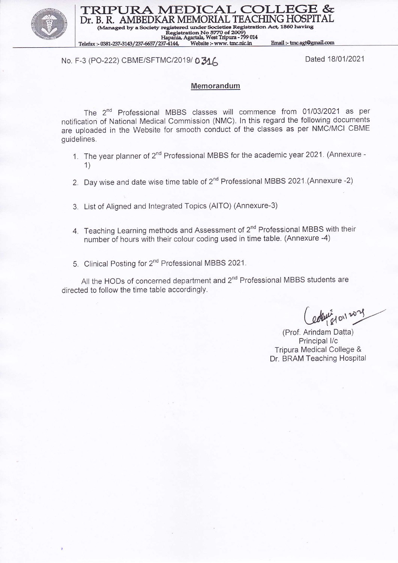

TRIPURA MEDICAL COLI Dr. B. R. AMBEDKAR MEMORIAL TEACHING HOSPITAL (Managed by a Society registered under Societies Registration Act, 1860 having

o 5770 of 2009)<br>West Tripura - 799 014 Telefax: - 0381-237-3143/237-6657/237-4144,

### No. F-3 (PO-222) CBME/SFTMC/2019/ 0316

Dated 18/01/2021

Email:-tmc.agt@gmail.com

#### **Memorandum**

The 2<sup>nd</sup> Professional MBBS classes will commence from 01/03/2021 as per notification of National Medical Commission (NMC). ln this regard the following documents are uploaded in the website for smooth conduct of the classes as per NMC/MCI CBME guidelines.

- 1. The year planner of 2<sup>nd</sup> Professional MBBS for the academic year 2021. (Annexure -1)
- 2. Day wise and date wise time table of 2<sup>nd</sup> Professional MBBS 2021.(Annexure -2)
- 3. List of Aligned and lntegrated Topics (AITO) (Annexure-3)
- 4. Teaching Learning methods and Assessment of 2<sup>nd</sup> Professional MBBS with their number of hours with their colour coding used in time table. (Annexure -4)
- 5. Clinical Posting for 2<sup>nd</sup> Professional MBBS 2021.

All the HODs of concerned department and 2<sup>nd</sup> Professional MBBS students are directed to follow the time table accordingly.

edent et oil 2021

(Prof. Arindam Datta) Principal I/c Tripura Medical College & Dr. BRAM Teaching Hospital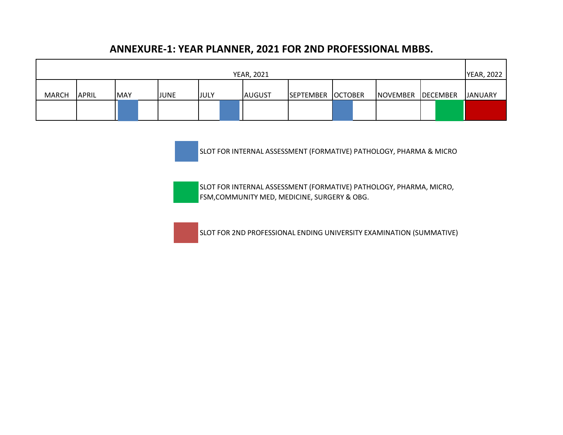## **ANNEXURE-1: YEAR PLANNER, 2021 FOR 2ND PROFESSIONAL MBBS.**

| <b>YEAR, 2021</b> |              |            |  |             |             |  | <b>YEAR, 2022</b> |                   |  |                 |          |                |
|-------------------|--------------|------------|--|-------------|-------------|--|-------------------|-------------------|--|-----------------|----------|----------------|
|                   |              |            |  |             |             |  |                   |                   |  |                 |          |                |
| <b>MARCH</b>      | <b>APRIL</b> | <b>MAY</b> |  | <b>JUNE</b> | <b>JULY</b> |  | <b>AUGUST</b>     | SEPTEMBER OCTOBER |  | <b>NOVEMBER</b> | DECEMBER | <b>JANUARY</b> |
|                   |              |            |  |             |             |  |                   |                   |  |                 |          |                |
|                   |              |            |  |             |             |  |                   |                   |  |                 |          |                |

SLOT FOR INTERNAL ASSESSMENT (FORMATIVE) PATHOLOGY, PHARMA & MICRO

SLOT FOR INTERNAL ASSESSMENT (FORMATIVE) PATHOLOGY, PHARMA, MICRO, FSM,COMMUNITY MED, MEDICINE, SURGERY & OBG.



SLOT FOR 2ND PROFESSIONAL ENDING UNIVERSITY EXAMINATION (SUMMATIVE)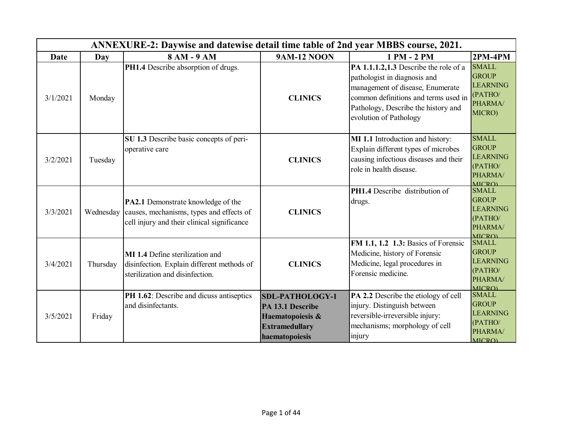|          |           | ANNEXURE-2: Daywise and datewise detail time table of 2nd year MBBS course, 2021.                                             |                                                                                                           |                                                                                                                                                                                                                    |                                                                                        |
|----------|-----------|-------------------------------------------------------------------------------------------------------------------------------|-----------------------------------------------------------------------------------------------------------|--------------------------------------------------------------------------------------------------------------------------------------------------------------------------------------------------------------------|----------------------------------------------------------------------------------------|
| Date     | Day       | 8 AM - 9 AM                                                                                                                   | <b>9AM-12 NOON</b>                                                                                        | 1 PM - 2 PM                                                                                                                                                                                                        | $2PM-4PM$                                                                              |
| 3/1/2021 | Monday    | PH1.4 Describe absorption of drugs.                                                                                           | <b>CLINICS</b>                                                                                            | PA 1.1.1.2,1.3 Describe the role of a<br>pathologist in diagnosis and<br>management of disease, Enumerate<br>common definitions and terms used in<br>Pathology, Describe the history and<br>evolution of Pathology | <b>SMALL</b><br><b>GROUP</b><br><b>LEARNING</b><br>(PATHO/<br>PHARMA/<br>MICRO)        |
| 3/2/2021 | Tuesday   | SU 1.3 Describe basic concepts of peri-<br>operative care                                                                     | <b>CLINICS</b>                                                                                            | MI 1.1 Introduction and history:<br>Explain different types of microbes<br>causing infectious diseases and their<br>role in health disease.                                                                        | <b>SMALL</b><br><b>GROUP</b><br><b>LEARNING</b><br>(PATHO/<br>PHARMA/<br>MICRO)        |
| 3/3/2021 | Wednesday | PA2.1 Demonstrate knowledge of the<br>causes, mechanisms, types and effects of<br>cell injury and their clinical significance | <b>CLINICS</b>                                                                                            | <b>PH1.4</b> Describe distribution of<br>drugs.                                                                                                                                                                    | <b>SMALL</b><br><b>GROUP</b><br><b>LEARNING</b><br>(PATHO/<br>PHARMA/<br><b>MICRO)</b> |
| 3/4/2021 | Thursday  | MI 1.4 Define sterilization and<br>disinfection. Explain different methods of<br>sterilization and disinfection.              | <b>CLINICS</b>                                                                                            | FM 1.1, 1.2 1.3: Basics of Forensic<br>Medicine, history of Forensic<br>Medicine, legal procedures in<br>Forensic medicine.                                                                                        | <b>SMALL</b><br><b>GROUP</b><br><b>LEARNING</b><br>(PATHO/<br>PHARMA/<br><b>MICRO)</b> |
| 3/5/2021 | Friday    | PH 1.62: Describe and dicuss antiseptics<br>and disinfectants.                                                                | <b>SDL-PATHOLOGY-1</b><br>PA 13.1 Describe<br>Haematopoiesis &<br><b>Extramedullary</b><br>haematopoiesis | PA 2.2 Describe the etiology of cell<br>injury. Distinguish between<br>reversible-irreversible injury:<br>mechanisms; morphology of cell<br>injury                                                                 | <b>SMALL</b><br><b>GROUP</b><br><b>LEARNING</b><br>(PATHO/<br>PHARMA/<br><b>MICRO)</b> |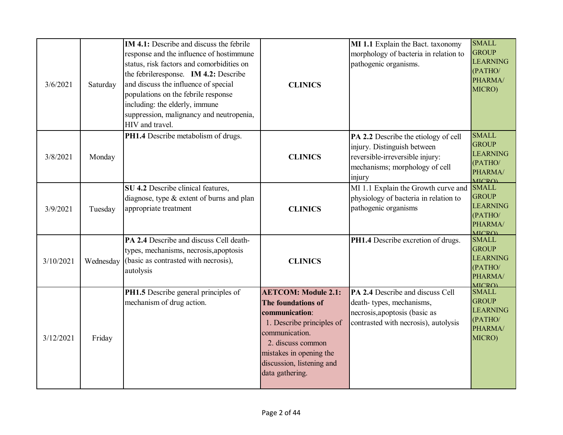| 3/6/2021  | Saturday  | <b>IM 4.1:</b> Describe and discuss the febrile<br>response and the influence of hostimmune<br>status, risk factors and comorbidities on<br>the febrile response. IM 4.2: Describe<br>and discuss the influence of special<br>populations on the febrile response<br>including: the elderly, immune<br>suppression, malignancy and neutropenia,<br>HIV and travel. | <b>CLINICS</b>                                                                                                                                                                                                    | MI 1.1 Explain the Bact. taxonomy<br>morphology of bacteria in relation to<br>pathogenic organisms.                                                | <b>SMALL</b><br><b>GROUP</b><br><b>LEARNING</b><br>(PATHO/<br>PHARMA/<br>MICRO)        |
|-----------|-----------|--------------------------------------------------------------------------------------------------------------------------------------------------------------------------------------------------------------------------------------------------------------------------------------------------------------------------------------------------------------------|-------------------------------------------------------------------------------------------------------------------------------------------------------------------------------------------------------------------|----------------------------------------------------------------------------------------------------------------------------------------------------|----------------------------------------------------------------------------------------|
| 3/8/2021  | Monday    | PH1.4 Describe metabolism of drugs.                                                                                                                                                                                                                                                                                                                                | <b>CLINICS</b>                                                                                                                                                                                                    | PA 2.2 Describe the etiology of cell<br>injury. Distinguish between<br>reversible-irreversible injury:<br>mechanisms; morphology of cell<br>injury | <b>SMALL</b><br><b>GROUP</b><br><b>LEARNING</b><br>(PATHO/<br>PHARMA/<br><b>MICRO)</b> |
| 3/9/2021  | Tuesday   | SU 4.2 Describe clinical features,<br>diagnose, type & extent of burns and plan<br>appropriate treatment                                                                                                                                                                                                                                                           | <b>CLINICS</b>                                                                                                                                                                                                    | MI 1.1 Explain the Growth curve and<br>physiology of bacteria in relation to<br>pathogenic organisms                                               | <b>SMALL</b><br><b>GROUP</b><br><b>LEARNING</b><br>(PATHO/<br>PHARMA/<br><b>MICRO)</b> |
| 3/10/2021 | Wednesday | PA 2.4 Describe and discuss Cell death-<br>types, mechanisms, necrosis, apoptosis<br>(basic as contrasted with necrosis),<br>autolysis                                                                                                                                                                                                                             | <b>CLINICS</b>                                                                                                                                                                                                    | PH1.4 Describe excretion of drugs.                                                                                                                 | <b>SMALL</b><br><b>GROUP</b><br><b>LEARNING</b><br>(PATHO/<br>PHARMA/<br><b>MICRO)</b> |
| 3/12/2021 | Friday    | PH1.5 Describe general principles of<br>mechanism of drug action.                                                                                                                                                                                                                                                                                                  | <b>AETCOM: Module 2.1:</b><br>The foundations of<br>communication:<br>1. Describe principles of<br>communication.<br>2. discuss common<br>mistakes in opening the<br>discussion, listening and<br>data gathering. | PA 2.4 Describe and discuss Cell<br>death-types, mechanisms,<br>necrosis, apoptosis (basic as<br>contrasted with necrosis), autolysis              | <b>SMALL</b><br><b>GROUP</b><br><b>LEARNING</b><br>(PATHO/<br>PHARMA/<br>MICRO)        |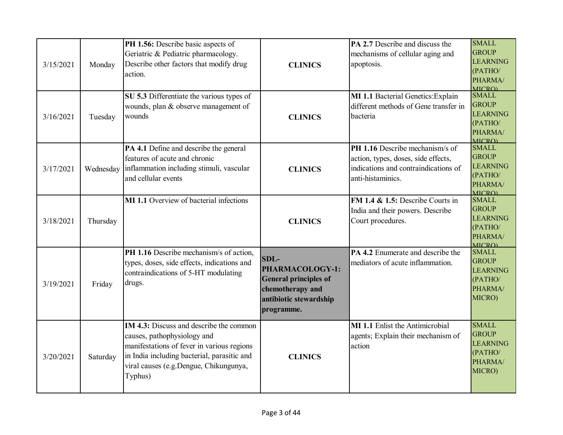| 3/15/2021 | Monday    | PH 1.56: Describe basic aspects of<br>Geriatric & Pediatric pharmacology.<br>Describe other factors that modify drug<br>action.                                                                                                 | <b>CLINICS</b>                                                                                                        | <b>PA 2.7</b> Describe and discuss the<br>mechanisms of cellular aging and<br>apoptosis.                                            | <b>SMALL</b><br><b>GROUP</b><br><b>LEARNING</b><br>(PATHO/<br>PHARMA/<br><b>MICRO)</b> |
|-----------|-----------|---------------------------------------------------------------------------------------------------------------------------------------------------------------------------------------------------------------------------------|-----------------------------------------------------------------------------------------------------------------------|-------------------------------------------------------------------------------------------------------------------------------------|----------------------------------------------------------------------------------------|
| 3/16/2021 | Tuesday   | SU 5.3 Differentiate the various types of<br>wounds, plan & observe management of<br>wounds                                                                                                                                     | <b>CLINICS</b>                                                                                                        | MI 1.1 Bacterial Genetics: Explain<br>different methods of Gene transfer in<br>bacteria                                             | <b>SMALL</b><br><b>GROUP</b><br><b>LEARNING</b><br>(PATHO/<br>PHARMA/<br><b>MICRO</b>  |
| 3/17/2021 | Wednesday | PA 4.1 Define and describe the general<br>features of acute and chronic<br>inflammation including stimuli, vascular<br>and cellular events                                                                                      | <b>CLINICS</b>                                                                                                        | PH 1.16 Describe mechanism/s of<br>action, types, doses, side effects,<br>indications and contraindications of<br>anti-histaminics. | <b>SMALL</b><br><b>GROUP</b><br><b>LEARNING</b><br>(PATHO/<br>PHARMA/<br><b>MICRO)</b> |
| 3/18/2021 | Thursday  | <b>MI</b> 1.1 Overview of bacterial infections                                                                                                                                                                                  | <b>CLINICS</b>                                                                                                        | FM 1.4 $\&$ 1.5: Describe Courts in<br>India and their powers. Describe<br>Court procedures.                                        | <b>SMALL</b><br><b>GROUP</b><br><b>LEARNING</b><br>(PATHO/<br>PHARMA/<br><b>MICRO)</b> |
| 3/19/2021 | Friday    | PH 1.16 Describe mechanism/s of action,<br>types, doses, side effects, indications and<br>contraindications of 5-HT modulating<br>drugs.                                                                                        | $SDL-$<br>PHARMACOLOGY-1:<br><b>General principles of</b><br>chemotherapy and<br>antibiotic stewardship<br>programme. | PA 4.2 Enumerate and describe the<br>mediators of acute inflammation.                                                               | <b>SMALL</b><br><b>GROUP</b><br><b>LEARNING</b><br>(PATHO/<br>PHARMA/<br>MICRO)        |
| 3/20/2021 | Saturday  | <b>IM 4.3:</b> Discuss and describe the common<br>causes, pathophysiology and<br>manifestations of fever in various regions<br>in India including bacterial, parasitic and<br>viral causes (e.g.Dengue, Chikungunya,<br>Typhus) | <b>CLINICS</b>                                                                                                        | <b>MI 1.1</b> Enlist the Antimicrobial<br>agents; Explain their mechanism of<br>action                                              | <b>SMALL</b><br><b>GROUP</b><br><b>LEARNING</b><br>(PATHO/<br>PHARMA/<br>MICRO)        |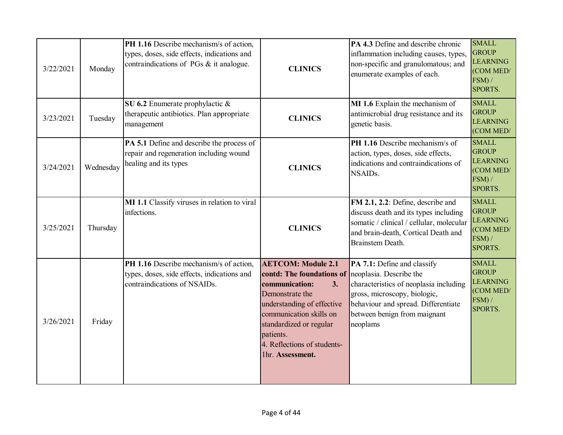| 3/22/2021 | Monday    | PH 1.16 Describe mechanism/s of action,<br>types, doses, side effects, indications and<br>contraindications of PGs & it analogue. | <b>CLINICS</b>                                                                                                                                                                                                                                        | PA 4.3 Define and describe chronic<br>inflammation including causes, types,<br>non-specific and granulomatous; and<br>enumerate examples of each.                                                                   | <b>SMALL</b><br><b>GROUP</b><br><b>LEARNING</b><br>(COM MED/<br>FSM) /<br>SPORTS.    |
|-----------|-----------|-----------------------------------------------------------------------------------------------------------------------------------|-------------------------------------------------------------------------------------------------------------------------------------------------------------------------------------------------------------------------------------------------------|---------------------------------------------------------------------------------------------------------------------------------------------------------------------------------------------------------------------|--------------------------------------------------------------------------------------|
| 3/23/2021 | Tuesday   | SU 6.2 Enumerate prophylactic &<br>therapeutic antibiotics. Plan appropriate<br>management                                        | <b>CLINICS</b>                                                                                                                                                                                                                                        | MI 1.6 Explain the mechanism of<br>antimicrobial drug resistance and its<br>genetic basis.                                                                                                                          | <b>SMALL</b><br><b>GROUP</b><br><b>LEARNING</b><br>(COM MED/                         |
| 3/24/2021 | Wednesday | PA 5.1 Define and describe the process of<br>repair and regeneration including wound<br>healing and its types                     | <b>CLINICS</b>                                                                                                                                                                                                                                        | PH 1.16 Describe mechanism/s of<br>action, types, doses, side effects,<br>indications and contraindications of<br>NSAIDs.                                                                                           | <b>SMALL</b><br><b>GROUP</b><br><b>LEARNING</b><br>(COM MED/<br>$FSM$ ) /<br>SPORTS. |
| 3/25/2021 | Thursday  | MI 1.1 Classify viruses in relation to viral<br>infections.                                                                       | <b>CLINICS</b>                                                                                                                                                                                                                                        | FM 2.1, 2.2: Define, describe and<br>discuss death and its types including<br>somatic / clinical / cellular, molecular<br>and brain-death, Cortical Death and<br>Brainstem Death.                                   | <b>SMALL</b><br><b>GROUP</b><br><b>LEARNING</b><br>(COM MED/<br>FSM) /<br>SPORTS.    |
| 3/26/2021 | Friday    | PH 1.16 Describe mechanism/s of action,<br>types, doses, side effects, indications and<br>contraindications of NSAIDs.            | <b>AETCOM: Module 2.1</b><br>contd: The foundations of<br>3.<br>communication:<br>Demonstrate the<br>understanding of effective<br>communication skills on<br>standardized or regular<br>patients.<br>4. Reflections of students-<br>1hr. Assessment. | PA 7.1: Define and classify<br>neoplasia. Describe the<br>characteristics of neoplasia including<br>gross, microscopy, biologic,<br>behaviour and spread. Differentiate<br>between benign from maignant<br>neoplams | <b>SMALL</b><br><b>GROUP</b><br><b>LEARNING</b><br>(COM MED/<br>$FSM$ ) /<br>SPORTS. |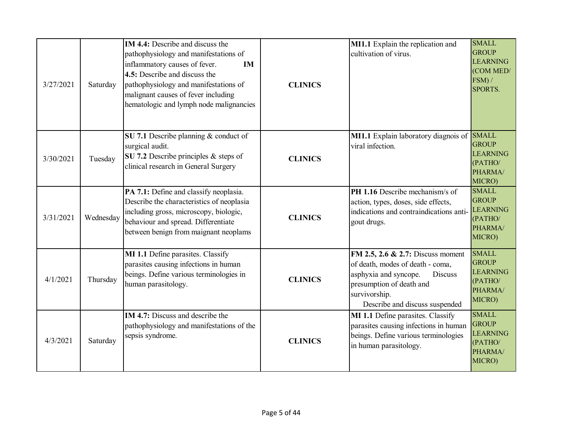| 3/27/2021 | Saturday  | <b>IM 4.4:</b> Describe and discuss the<br>pathophysiology and manifestations of<br>inflammatory causes of fever.<br>IM<br>4.5: Describe and discuss the<br>pathophysiology and manifestations of<br>malignant causes of fever including<br>hematologic and lymph node malignancies | <b>CLINICS</b> | MI1.1 Explain the replication and<br>cultivation of virus.                                                                                                                                      | <b>SMALL</b><br><b>GROUP</b><br><b>LEARNING</b><br>(COM MED/<br>FSM) /<br>SPORTS. |
|-----------|-----------|-------------------------------------------------------------------------------------------------------------------------------------------------------------------------------------------------------------------------------------------------------------------------------------|----------------|-------------------------------------------------------------------------------------------------------------------------------------------------------------------------------------------------|-----------------------------------------------------------------------------------|
| 3/30/2021 | Tuesday   | SU 7.1 Describe planning $&$ conduct of<br>surgical audit.<br>SU 7.2 Describe principles & steps of<br>clinical research in General Surgery                                                                                                                                         | <b>CLINICS</b> | MI1.1 Explain laboratory diagnois of SMALL<br>viral infection.                                                                                                                                  | <b>GROUP</b><br><b>LEARNING</b><br>(PATHO/<br>PHARMA/<br>MICRO)                   |
| 3/31/2021 | Wednesday | PA 7.1: Define and classify neoplasia.<br>Describe the characteristics of neoplasia<br>including gross, microscopy, biologic,<br>behaviour and spread. Differentiate<br>between benign from maignant neoplams                                                                       | <b>CLINICS</b> | PH 1.16 Describe mechanism/s of<br>action, types, doses, side effects,<br>indications and contraindications anti-<br>gout drugs.                                                                | <b>SMALL</b><br><b>GROUP</b><br><b>LEARNING</b><br>(PATHO/<br>PHARMA/<br>MICRO)   |
| 4/1/2021  | Thursday  | MI 1.1 Define parasites. Classify<br>parasites causing infections in human<br>beings. Define various terminologies in<br>human parasitology.                                                                                                                                        | <b>CLINICS</b> | FM 2.5, 2.6 & 2.7: Discuss moment<br>of death, modes of death - coma,<br>asphyxia and syncope.<br><b>Discuss</b><br>presumption of death and<br>survivorship.<br>Describe and discuss suspended | <b>SMALL</b><br><b>GROUP</b><br><b>LEARNING</b><br>(PATHO/<br>PHARMA/<br>MICRO)   |
| 4/3/2021  | Saturday  | <b>IM 4.7:</b> Discuss and describe the<br>pathophysiology and manifestations of the<br>sepsis syndrome.                                                                                                                                                                            | <b>CLINICS</b> | MI 1.1 Define parasites. Classify<br>parasites causing infections in human<br>beings. Define various terminologies<br>in human parasitology.                                                    | <b>SMALL</b><br><b>GROUP</b><br><b>LEARNING</b><br>(PATHO/<br>PHARMA/<br>MICRO)   |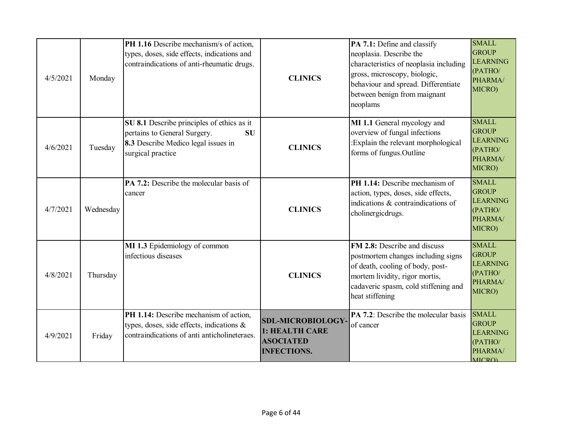| 4/5/2021 | Monday    | PH 1.16 Describe mechanism/s of action,<br>types, doses, side effects, indications and<br>contraindications of anti-rheumatic drugs.                | <b>CLINICS</b>                                                                      | PA 7.1: Define and classify<br>neoplasia. Describe the<br>characteristics of neoplasia including<br>gross, microscopy, biologic,<br>behaviour and spread. Differentiate<br>between benign from maignant<br>neoplams | <b>SMALL</b><br><b>GROUP</b><br><b>LEARNING</b><br>(PATHO/<br>PHARMA/<br>MICRO)        |
|----------|-----------|-----------------------------------------------------------------------------------------------------------------------------------------------------|-------------------------------------------------------------------------------------|---------------------------------------------------------------------------------------------------------------------------------------------------------------------------------------------------------------------|----------------------------------------------------------------------------------------|
| 4/6/2021 | Tuesday   | SU 8.1 Describe principles of ethics as it<br>pertains to General Surgery.<br><b>SU</b><br>8.3 Describe Medico legal issues in<br>surgical practice | <b>CLINICS</b>                                                                      | MI 1.1 General mycology and<br>overview of fungal infections<br>:Explain the relevant morphological<br>forms of fungus. Outline                                                                                     | <b>SMALL</b><br><b>GROUP</b><br><b>LEARNING</b><br>(PATHO/<br>PHARMA/<br>MICRO)        |
| 4/7/2021 | Wednesday | PA 7.2: Describe the molecular basis of<br>cancer                                                                                                   | <b>CLINICS</b>                                                                      | PH 1.14: Describe mechanism of<br>action, types, doses, side effects,<br>indications & contraindications of<br>cholinergicdrugs.                                                                                    | <b>SMALL</b><br><b>GROUP</b><br><b>LEARNING</b><br>(PATHO/<br>PHARMA/<br>MICRO)        |
| 4/8/2021 | Thursday  | MI 1.3 Epidemiology of common<br>infectious diseases                                                                                                | <b>CLINICS</b>                                                                      | FM 2.8: Describe and discuss<br>postmortem changes including signs<br>of death, cooling of body, post-<br>mortem lividity, rigor mortis,<br>cadaveric spasm, cold stiffening and<br>heat stiffening                 | <b>SMALL</b><br><b>GROUP</b><br><b>LEARNING</b><br>(PATHO/<br>PHARMA/<br>MICRO)        |
| 4/9/2021 | Friday    | PH 1.14: Describe mechanism of action,<br>types, doses, side effects, indications $\&$<br>contraindications of anti anticholineteraes.              | <b>SDL-MICROBIOLOGY</b><br>1: HEALTH CARE<br><b>ASOCIATED</b><br><b>INFECTIONS.</b> | PA 7.2: Describe the molecular basis<br>of cancer                                                                                                                                                                   | <b>SMALL</b><br><b>GROUP</b><br><b>LEARNING</b><br>(PATHO/<br>PHARMA/<br><b>MICRO)</b> |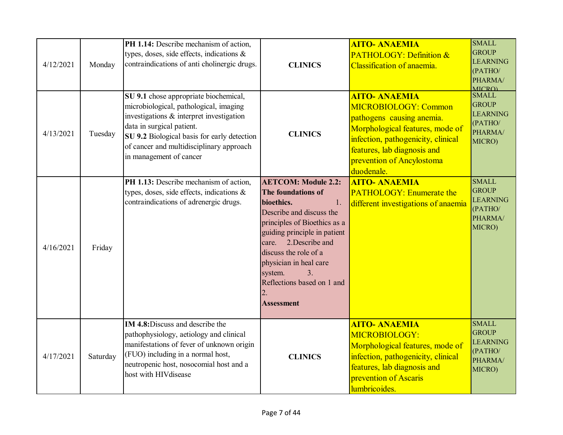| 4/12/2021 | Monday   | PH 1.14: Describe mechanism of action,<br>types, doses, side effects, indications &<br>contraindications of anti cholinergic drugs.                                                                                                                                            | <b>CLINICS</b>                                                                                                                                                                                                                                                                                                                    | <b>AITO- ANAEMIA</b><br><b>PATHOLOGY: Definition &amp;</b><br>Classification of anaemia.                                                                                                                                     | <b>SMALL</b><br><b>GROUP</b><br><b>LEARNING</b><br>(PATHO/<br>PHARMA/<br><b>MICRO)</b> |
|-----------|----------|--------------------------------------------------------------------------------------------------------------------------------------------------------------------------------------------------------------------------------------------------------------------------------|-----------------------------------------------------------------------------------------------------------------------------------------------------------------------------------------------------------------------------------------------------------------------------------------------------------------------------------|------------------------------------------------------------------------------------------------------------------------------------------------------------------------------------------------------------------------------|----------------------------------------------------------------------------------------|
| 4/13/2021 | Tuesday  | SU 9.1 chose appropriate biochemical,<br>microbiological, pathological, imaging<br>investigations & interpret investigation<br>data in surgical patient.<br>SU 9.2 Biological basis for early detection<br>of cancer and multidisciplinary approach<br>in management of cancer | <b>CLINICS</b>                                                                                                                                                                                                                                                                                                                    | <b>AITO- ANAEMIA</b><br>MICROBIOLOGY: Common<br>pathogens causing anemia.<br>Morphological features, mode of<br>infection, pathogenicity, clinical<br>features, lab diagnosis and<br>prevention of Ancylostoma<br>duodenale. | <b>SMALL</b><br><b>GROUP</b><br><b>LEARNING</b><br>(PATHO/<br>PHARMA/<br>MICRO)        |
| 4/16/2021 | Friday   | PH 1.13: Describe mechanism of action,<br>types, doses, side effects, indications &<br>contraindications of adrenergic drugs.                                                                                                                                                  | <b>AETCOM: Module 2.2:</b><br>The foundations of<br>bioethics.<br>1.<br>Describe and discuss the<br>principles of Bioethics as a<br>guiding principle in patient<br>care. 2. Describe and<br>discuss the role of a<br>physician in heal care<br>system.<br>$\mathcal{R}$<br>Reflections based on 1 and<br>2.<br><b>Assessment</b> | <b>AITO- ANAEMIA</b><br><b>PATHOLOGY: Enumerate the</b><br>different investigations of anaemia                                                                                                                               | <b>SMALL</b><br><b>GROUP</b><br><b>LEARNING</b><br>(PATHO/<br>PHARMA/<br>MICRO)        |
| 4/17/2021 | Saturday | IM 4.8: Discuss and describe the<br>pathophysiology, aetiology and clinical<br>manifestations of fever of unknown origin<br>(FUO) including in a normal host,<br>neutropenic host, nosocomial host and a<br>host with HIV disease                                              | <b>CLINICS</b>                                                                                                                                                                                                                                                                                                                    | <b>AITO- ANAEMIA</b><br>MICROBIOLOGY:<br>Morphological features, mode of<br>infection, pathogenicity, clinical<br>features, lab diagnosis and<br>prevention of Ascaris<br>lumbricoides.                                      | <b>SMALL</b><br><b>GROUP</b><br><b>LEARNING</b><br>(PATHO/<br>PHARMA/<br>MICRO)        |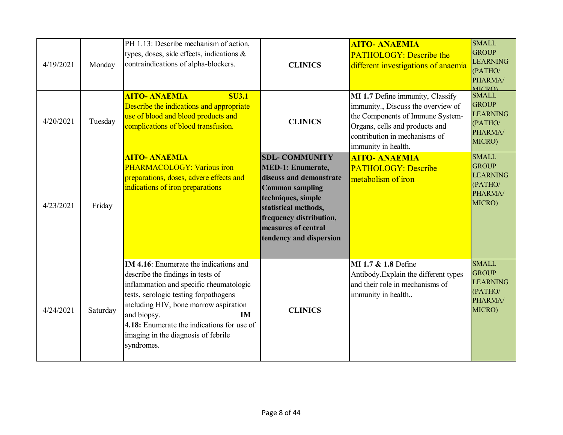| 4/19/2021 | Monday   | PH 1.13: Describe mechanism of action,<br>types, doses, side effects, indications &<br>contraindications of alpha-blockers.                                                                                                                                                                                                             | <b>CLINICS</b>                                                                                                                                                                                                                    | <b>AITO- ANAEMIA</b><br><b>PATHOLOGY: Describe the</b><br>different investigations of anaemia                                                                                                        | <b>SMALL</b><br><b>GROUP</b><br><b>LEARNING</b><br>(PATHO/<br>PHARMA/<br><b>MICRO</b> |
|-----------|----------|-----------------------------------------------------------------------------------------------------------------------------------------------------------------------------------------------------------------------------------------------------------------------------------------------------------------------------------------|-----------------------------------------------------------------------------------------------------------------------------------------------------------------------------------------------------------------------------------|------------------------------------------------------------------------------------------------------------------------------------------------------------------------------------------------------|---------------------------------------------------------------------------------------|
| 4/20/2021 | Tuesday  | <b>AITO- ANAEMIA</b><br><b>SU3.1</b><br>Describe the indications and appropriate<br>use of blood and blood products and<br>complications of blood transfusion.                                                                                                                                                                          | <b>CLINICS</b>                                                                                                                                                                                                                    | MI 1.7 Define immunity, Classify<br>immunity., Discuss the overview of<br>the Components of Immune System-<br>Organs, cells and products and<br>contribution in mechanisms of<br>immunity in health. | <b>SMALL</b><br><b>GROUP</b><br><b>LEARNING</b><br>(PATHO/<br>PHARMA/<br>MICRO)       |
| 4/23/2021 | Friday   | <b>AITO- ANAEMIA</b><br>PHARMACOLOGY: Various iron<br>preparations, doses, advere effects and<br>indications of iron preparations                                                                                                                                                                                                       | <b>SDL- COMMUNITY</b><br><b>MED-1: Enumerate,</b><br>discuss and demonstrate<br><b>Common sampling</b><br>techniques, simple<br>statistical methods,<br>frequency distribution,<br>measures of central<br>tendency and dispersion | <b>AITO- ANAEMIA</b><br><b>PATHOLOGY: Describe</b><br>metabolism of iron                                                                                                                             | <b>SMALL</b><br><b>GROUP</b><br><b>LEARNING</b><br>(PATHO/<br>PHARMA/<br>MICRO)       |
| 4/24/2021 | Saturday | <b>IM 4.16:</b> Enumerate the indications and<br>describe the findings in tests of<br>inflammation and specific rheumatologic<br>tests, serologic testing forpathogens<br>including HIV, bone marrow aspiration<br>and biopsy.<br>IM<br>4.18: Enumerate the indications for use of<br>imaging in the diagnosis of febrile<br>syndromes. | <b>CLINICS</b>                                                                                                                                                                                                                    | MI 1.7 & 1.8 Define<br>Antibody. Explain the different types<br>and their role in mechanisms of<br>immunity in health                                                                                | <b>SMALL</b><br><b>GROUP</b><br><b>LEARNING</b><br>(PATHO/<br>PHARMA/<br>MICRO)       |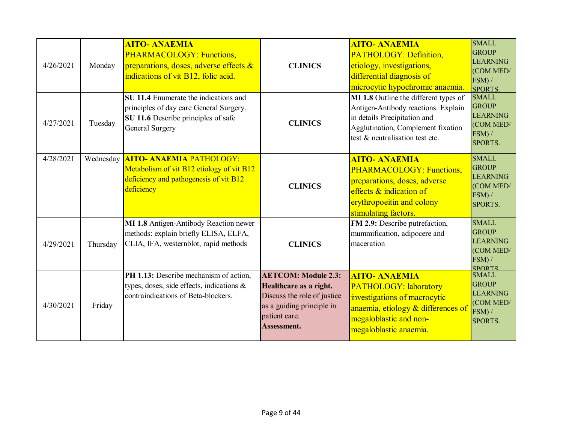| 4/26/2021 | Monday    | <b>AITO- ANAEMIA</b><br>PHARMACOLOGY: Functions,<br>preparations, doses, adverse effects &<br>indications of vit B12, folic acid.          | <b>CLINICS</b>                                                                                                                                   | <b>AITO- ANAEMIA</b><br>PATHOLOGY: Definition,<br>etiology, investigations,<br>differential diagnosis of<br>microcytic hypochromic anaemia.                                           | <b>SMALL</b><br><b>GROUP</b><br><b>LEARNING</b><br>(COM MED/<br>FSM) /<br><b>SPORTS.</b>   |
|-----------|-----------|--------------------------------------------------------------------------------------------------------------------------------------------|--------------------------------------------------------------------------------------------------------------------------------------------------|---------------------------------------------------------------------------------------------------------------------------------------------------------------------------------------|--------------------------------------------------------------------------------------------|
| 4/27/2021 | Tuesday   | SU 11.4 Enumerate the indications and<br>principles of day care General Surgery.<br>SU 11.6 Describe principles of safe<br>General Surgery | <b>CLINICS</b>                                                                                                                                   | MI 1.8 Outline the different types of<br>Antigen-Antibody reactions. Explain<br>in details Precipitation and<br>Agglutination, Complement fixation<br>test & neutralisation test etc. | <b>SMALL</b><br><b>GROUP</b><br><b>LEARNING</b><br>(COM MED/<br>FSM) /<br>SPORTS.          |
| 4/28/2021 | Wednesday | <b>AITO- ANAEMIA PATHOLOGY:</b><br>Metabolism of vit B12 etiology of vit B12<br>deficiency and pathogenesis of vit B12<br>deficiency       | <b>CLINICS</b>                                                                                                                                   | <b>AITO- ANAEMIA</b><br><b>PHARMACOLOGY: Functions,</b><br>preparations, doses, adverse<br>$\epsilon$ effects $\&$ indication of<br>erythropoeitin and colony<br>stimulating factors. | <b>SMALL</b><br><b>GROUP</b><br><b>LEARNING</b><br>(COM MED/<br>FSM) /<br>SPORTS.          |
| 4/29/2021 | Thursday  | MI 1.8 Antigen-Antibody Reaction newer<br>methods: explain briefly ELISA, ELFA,<br>CLIA, IFA, westernblot, rapid methods                   | <b>CLINICS</b>                                                                                                                                   | FM 2.9: Describe putrefaction,<br>mummification, adipocere and<br>maceration                                                                                                          | <b>SMALL</b><br><b>GROUP</b><br><b>LEARNING</b><br>(COM MED/<br>$FSM$ ) /<br><b>SPORTS</b> |
| 4/30/2021 | Friday    | PH 1.13: Describe mechanism of action,<br>types, doses, side effects, indications &<br>contraindications of Beta-blockers.                 | <b>AETCOM: Module 2.3:</b><br>Healthcare as a right.<br>Discuss the role of justice<br>as a guiding principle in<br>patient care.<br>Assessment. | <b>AITO- ANAEMIA</b><br><b>PATHOLOGY: laboratory</b><br>investigations of macrocytic<br>anaemia, etiology & differences of<br>megaloblastic and non-<br>megaloblastic anaemia.        | <b>SMALL</b><br><b>GROUP</b><br><b>LEARNING</b><br>(COM MED/<br>FSM) /<br>SPORTS.          |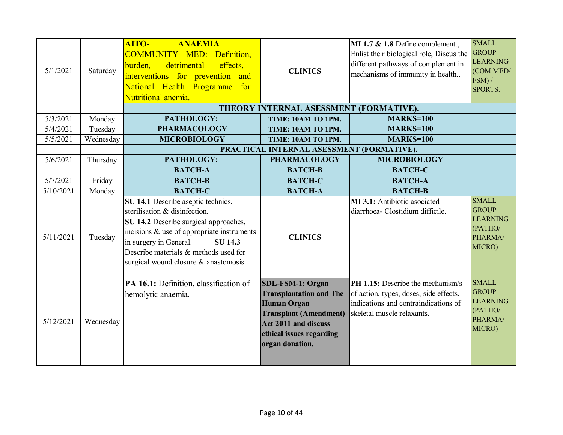| 5/1/2021  | Saturday  | <b>AITO-</b><br><b>ANAEMIA</b><br><b>COMMUNITY MED: Definition,</b><br>detrimental<br>effects,<br>burden,<br>interventions for prevention and<br>National Health Programme<br>for<br>Nutritional anemia.                                                                                | <b>CLINICS</b>                                                                                                                                                                                 | MI 1.7 & 1.8 Define complement.,<br>Enlist their biological role, Discus the<br>different pathways of complement in<br>mechanisms of immunity in health | <b>SMALL</b><br><b>GROUP</b><br><b>LEARNING</b><br>(COM MED/<br>FSM) /<br>SPORTS. |
|-----------|-----------|-----------------------------------------------------------------------------------------------------------------------------------------------------------------------------------------------------------------------------------------------------------------------------------------|------------------------------------------------------------------------------------------------------------------------------------------------------------------------------------------------|---------------------------------------------------------------------------------------------------------------------------------------------------------|-----------------------------------------------------------------------------------|
|           |           |                                                                                                                                                                                                                                                                                         | THEORY INTERNAL ASESSMENT (FORMATIVE).                                                                                                                                                         |                                                                                                                                                         |                                                                                   |
| 5/3/2021  | Monday    | PATHOLOGY:                                                                                                                                                                                                                                                                              | TIME: 10AM TO 1PM.                                                                                                                                                                             | <b>MARKS=100</b>                                                                                                                                        |                                                                                   |
| 5/4/2021  | Tuesday   | <b>PHARMACOLOGY</b>                                                                                                                                                                                                                                                                     | TIME: 10AM TO 1PM.                                                                                                                                                                             | <b>MARKS=100</b>                                                                                                                                        |                                                                                   |
| 5/5/2021  | Wednesday | <b>MICROBIOLOGY</b>                                                                                                                                                                                                                                                                     | TIME: 10AM TO 1PM.                                                                                                                                                                             | <b>MARKS=100</b>                                                                                                                                        |                                                                                   |
|           |           |                                                                                                                                                                                                                                                                                         | PRACTICAL INTERNAL ASESSMENT (FORMATIVE).                                                                                                                                                      |                                                                                                                                                         |                                                                                   |
| 5/6/2021  | Thursday  | PATHOLOGY:                                                                                                                                                                                                                                                                              | <b>PHARMACOLOGY</b>                                                                                                                                                                            | <b>MICROBIOLOGY</b>                                                                                                                                     |                                                                                   |
|           |           | <b>BATCH-A</b>                                                                                                                                                                                                                                                                          | <b>BATCH-B</b>                                                                                                                                                                                 | <b>BATCH-C</b>                                                                                                                                          |                                                                                   |
| 5/7/2021  | Friday    | <b>BATCH-B</b>                                                                                                                                                                                                                                                                          | <b>BATCH-C</b>                                                                                                                                                                                 | <b>BATCH-A</b>                                                                                                                                          |                                                                                   |
| 5/10/2021 | Monday    | <b>BATCH-C</b>                                                                                                                                                                                                                                                                          | <b>BATCH-A</b>                                                                                                                                                                                 | <b>BATCH-B</b>                                                                                                                                          |                                                                                   |
| 5/11/2021 | Tuesday   | SU 14.1 Describe aseptic technics,<br>sterilisation & disinfection.<br>SU 14.2 Describe surgical approaches,<br>incisions & use of appropriate instruments<br>in surgery in General.<br><b>SU 14.3</b><br>Describe materials & methods used for<br>surgical wound closure & anastomosis | <b>CLINICS</b>                                                                                                                                                                                 | MI 3.1: Antibiotic asociated<br>diarrhoea- Clostidium difficile.                                                                                        | <b>SMALL</b><br><b>GROUP</b><br><b>LEARNING</b><br>(PATHO/<br>PHARMA/<br>MICRO)   |
| 5/12/2021 | Wednesday | PA 16.1: Definition, classification of<br>hemolytic anaemia.                                                                                                                                                                                                                            | <b>SDL-FSM-1: Organ</b><br><b>Transplantation and The</b><br><b>Human Organ</b><br><b>Transplant (Amendment)</b><br><b>Act 2011 and discuss</b><br>ethical issues regarding<br>organ donation. | PH 1.15: Describe the mechanism/s<br>of action, types, doses, side effects,<br>indications and contraindications of<br>skeletal muscle relaxants.       | <b>SMALL</b><br><b>GROUP</b><br><b>LEARNING</b><br>(PATHO/<br>PHARMA/<br>MICRO)   |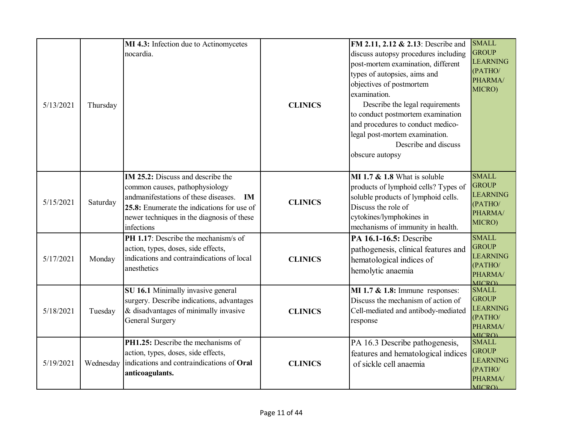| 5/13/2021 | Thursday  | MI 4.3: Infection due to Actinomycetes<br>nocardia.                                                                                                                                                                                       | <b>CLINICS</b> | FM 2.11, 2.12 & 2.13: Describe and<br>discuss autopsy procedures including<br>post-mortem examination, different<br>types of autopsies, aims and<br>objectives of postmortem<br>examination.<br>Describe the legal requirements<br>to conduct postmortem examination<br>and procedures to conduct medico-<br>legal post-mortem examination.<br>Describe and discuss<br>obscure autopsy | <b>SMALL</b><br><b>GROUP</b><br><b>LEARNING</b><br>(PATHO/<br>PHARMA/<br>MICRO)        |
|-----------|-----------|-------------------------------------------------------------------------------------------------------------------------------------------------------------------------------------------------------------------------------------------|----------------|----------------------------------------------------------------------------------------------------------------------------------------------------------------------------------------------------------------------------------------------------------------------------------------------------------------------------------------------------------------------------------------|----------------------------------------------------------------------------------------|
| 5/15/2021 | Saturday  | <b>IM 25.2:</b> Discuss and describe the<br>common causes, pathophysiology<br>andmanifestations of these diseases.<br><b>IM</b><br>25.8: Enumerate the indications for use of<br>newer techniques in the diagnosis of these<br>infections | <b>CLINICS</b> | MI 1.7 $&$ 1.8 What is soluble<br>products of lymphoid cells? Types of<br>soluble products of lymphoid cells.<br>Discuss the role of<br>cytokines/lymphokines in<br>mechanisms of immunity in health.                                                                                                                                                                                  | <b>SMALL</b><br><b>GROUP</b><br><b>LEARNING</b><br>(PATHO/<br>PHARMA/<br>MICRO)        |
| 5/17/2021 | Monday    | PH 1.17: Describe the mechanism/s of<br>action, types, doses, side effects,<br>indications and contraindications of local<br>anesthetics                                                                                                  | <b>CLINICS</b> | PA 16.1-16.5: Describe<br>pathogenesis, clinical features and<br>hematological indices of<br>hemolytic anaemia                                                                                                                                                                                                                                                                         | <b>SMALL</b><br><b>GROUP</b><br>LEARNING<br>(PATHO/<br>PHARMA/<br><b>MICRO)</b>        |
| 5/18/2021 | Tuesday   | SU 16.1 Minimally invasive general<br>surgery. Describe indications, advantages<br>& disadvantages of minimally invasive<br>General Surgery                                                                                               | <b>CLINICS</b> | MI 1.7 $&$ 1.8: Immune responses:<br>Discuss the mechanism of action of<br>Cell-mediated and antibody-mediated<br>response                                                                                                                                                                                                                                                             | <b>SMALL</b><br><b>GROUP</b><br><b>LEARNING</b><br>(PATHO/<br>PHARMA/<br><b>MICRO)</b> |
| 5/19/2021 | Wednesday | PH1.25: Describe the mechanisms of<br>action, types, doses, side effects,<br>indications and contraindications of Oral<br>anticoagulants.                                                                                                 | <b>CLINICS</b> | PA 16.3 Describe pathogenesis,<br>features and hematological indices<br>of sickle cell anaemia                                                                                                                                                                                                                                                                                         | <b>SMALL</b><br><b>GROUP</b><br><b>LEARNING</b><br>(PATHO/<br>PHARMA/<br><b>MICRO</b>  |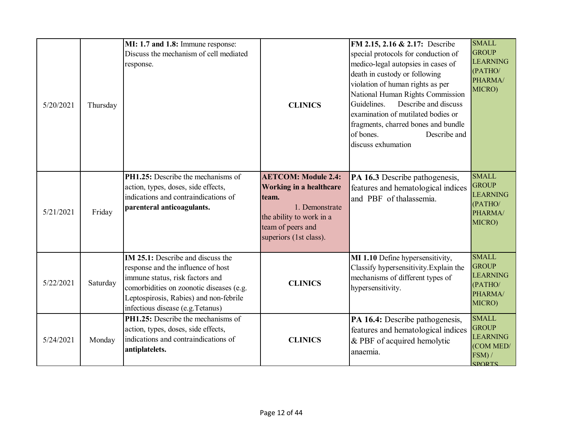| 5/20/2021 | Thursday | MI: 1.7 and 1.8: Immune response:<br>Discuss the mechanism of cell mediated<br>response.                                                                                                                                                    | <b>CLINICS</b>                                                                                                                                                     | FM 2.15, 2.16 & 2.17: Describe<br>special protocols for conduction of<br>medico-legal autopsies in cases of<br>death in custody or following<br>violation of human rights as per<br>National Human Rights Commission<br>Guidelines.<br>Describe and discuss<br>examination of mutilated bodies or<br>fragments, charred bones and bundle<br>of bones.<br>Describe and<br>discuss exhumation | <b>SMALL</b><br><b>GROUP</b><br><b>LEARNING</b><br>(PATHO/<br>PHARMA/<br>MICRO)         |
|-----------|----------|---------------------------------------------------------------------------------------------------------------------------------------------------------------------------------------------------------------------------------------------|--------------------------------------------------------------------------------------------------------------------------------------------------------------------|---------------------------------------------------------------------------------------------------------------------------------------------------------------------------------------------------------------------------------------------------------------------------------------------------------------------------------------------------------------------------------------------|-----------------------------------------------------------------------------------------|
| 5/21/2021 | Friday   | PH1.25: Describe the mechanisms of<br>action, types, doses, side effects,<br>indications and contraindications of<br>parenteral anticoagulants.                                                                                             | <b>AETCOM: Module 2.4:</b><br><b>Working in a healthcare</b><br>team.<br>1. Demonstrate<br>the ability to work in a<br>team of peers and<br>superiors (1st class). | PA 16.3 Describe pathogenesis,<br>features and hematological indices<br>and PBF of thalassemia.                                                                                                                                                                                                                                                                                             | <b>SMALL</b><br><b>GROUP</b><br><b>LEARNING</b><br>(PATHO/<br>PHARMA/<br>MICRO)         |
| 5/22/2021 | Saturday | <b>IM 25.1:</b> Describe and discuss the<br>response and the influence of host<br>immune status, risk factors and<br>comorbidities on zoonotic diseases (e.g.<br>Leptospirosis, Rabies) and non-febrile<br>infectious disease (e.g.Tetanus) | <b>CLINICS</b>                                                                                                                                                     | MI 1.10 Define hypersensitivity,<br>Classify hypersensitivity. Explain the<br>mechanisms of different types of<br>hypersensitivity.                                                                                                                                                                                                                                                         | <b>SMALL</b><br><b>GROUP</b><br><b>LEARNING</b><br>(PATHO/<br>PHARMA/<br>MICRO)         |
| 5/24/2021 | Monday   | PH1.25: Describe the mechanisms of<br>action, types, doses, side effects,<br>indications and contraindications of<br>antiplatelets.                                                                                                         | <b>CLINICS</b>                                                                                                                                                     | PA 16.4: Describe pathogenesis,<br>features and hematological indices<br>& PBF of acquired hemolytic<br>anaemia.                                                                                                                                                                                                                                                                            | <b>SMALL</b><br><b>GROUP</b><br><b>LEARNING</b><br>(COM MED/<br>FSM) /<br><b>SPORTS</b> |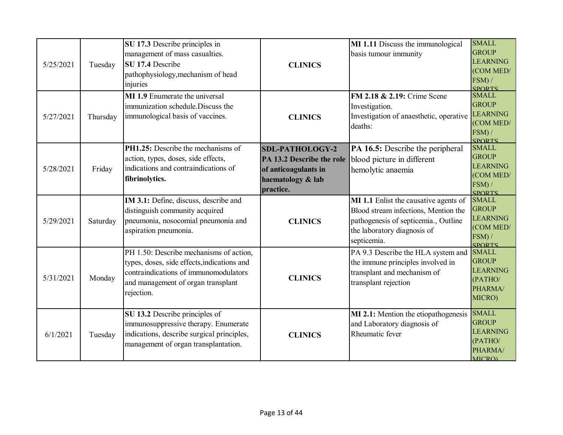| 5/25/2021 | Tuesday  | SU 17.3 Describe principles in<br>management of mass casualties.<br>SU 17.4 Describe<br>pathophysiology, mechanism of head<br>injuries                                              | <b>CLINICS</b>                                                                                                | MI 1.11 Discuss the immunological<br>basis tumour immunity                                                                                                          | <b>SMALL</b><br><b>GROUP</b><br><b>LEARNING</b><br>(COM MED/<br>FSM) /<br><b>SPORTS</b> |
|-----------|----------|-------------------------------------------------------------------------------------------------------------------------------------------------------------------------------------|---------------------------------------------------------------------------------------------------------------|---------------------------------------------------------------------------------------------------------------------------------------------------------------------|-----------------------------------------------------------------------------------------|
| 5/27/2021 | Thursday | <b>MI 1.9</b> Enumerate the universal<br>immunization schedule. Discuss the<br>immunological basis of vaccines.                                                                     | <b>CLINICS</b>                                                                                                | <b>FM 2.18 &amp; 2.19:</b> Crime Scene<br>Investigation.<br>Investigation of anaesthetic, operative<br>deaths:                                                      | <b>SMALL</b><br><b>GROUP</b><br><b>LEARNING</b><br>(COM MED/<br>FSM) /<br><b>SPORTS</b> |
| 5/28/2021 | Friday   | PH1.25: Describe the mechanisms of<br>action, types, doses, side effects,<br>indications and contraindications of<br>fibrinolytics.                                                 | <b>SDL-PATHOLOGY-2</b><br>PA 13.2 Describe the role<br>of anticoagulants in<br>haematology & lab<br>practice. | PA 16.5: Describe the peripheral<br>blood picture in different<br>hemolytic anaemia                                                                                 | <b>SMALL</b><br><b>GROUP</b><br><b>LEARNING</b><br>(COM MED/<br>FSM) /<br><b>SPORTS</b> |
| 5/29/2021 | Saturday | IM 3.1: Define, discuss, describe and<br>distinguish community acquired<br>pneumonia, nosocomial pneumonia and<br>aspiration pneumonia.                                             | <b>CLINICS</b>                                                                                                | MI 1.1 Enlist the causative agents of<br>Blood stream infections, Mention the<br>pathogenesis of septicemia., Outline<br>the laboratory diagnosis of<br>septicemia. | <b>SMALL</b><br><b>GROUP</b><br><b>LEARNING</b><br>(COM MED/<br>FSM) /<br><b>SPORTS</b> |
| 5/31/2021 | Monday   | PH 1.50: Describe mechanisms of action,<br>types, doses, side effects, indications and<br>contraindications of immunomodulators<br>and management of organ transplant<br>rejection. | <b>CLINICS</b>                                                                                                | PA 9.3 Describe the HLA system and<br>the immune principles involved in<br>transplant and mechanism of<br>transplant rejection                                      | <b>SMALL</b><br><b>GROUP</b><br><b>LEARNING</b><br>(PATHO/<br>PHARMA/<br>MICRO)         |
| 6/1/2021  | Tuesday  | SU 13.2 Describe principles of<br>immunosuppressive therapy. Enumerate<br>indications, describe surgical principles,<br>management of organ transplantation.                        | <b>CLINICS</b>                                                                                                | MI 2.1: Mention the etiopathogenesis<br>and Laboratory diagnosis of<br>Rheumatic fever                                                                              | <b>SMALL</b><br><b>GROUP</b><br><b>LEARNING</b><br>(PATHO/<br>PHARMA/<br><b>MICRO)</b>  |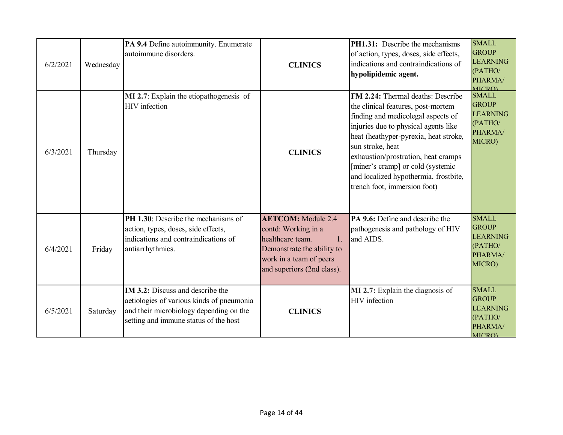| 6/2/2021 | Wednesday | PA 9.4 Define autoimmunity. Enumerate<br>autoimmune disorders.                                                                                                           | <b>CLINICS</b>                                                                                                                                                    | <b>PH1.31:</b> Describe the mechanisms<br>of action, types, doses, side effects,<br>indications and contraindications of<br>hypolipidemic agent.                                                                                                                                                                                                                        | <b>SMALL</b><br><b>GROUP</b><br><b>LEARNING</b><br>(PATHO/<br>PHARMA/<br>MICRO)        |
|----------|-----------|--------------------------------------------------------------------------------------------------------------------------------------------------------------------------|-------------------------------------------------------------------------------------------------------------------------------------------------------------------|-------------------------------------------------------------------------------------------------------------------------------------------------------------------------------------------------------------------------------------------------------------------------------------------------------------------------------------------------------------------------|----------------------------------------------------------------------------------------|
| 6/3/2021 | Thursday  | MI 2.7: Explain the etiopathogenesis of<br>HIV infection                                                                                                                 | <b>CLINICS</b>                                                                                                                                                    | FM 2.24: Thermal deaths: Describe<br>the clinical features, post-mortem<br>finding and medicolegal aspects of<br>injuries due to physical agents like<br>heat (heathyper-pyrexia, heat stroke,<br>sun stroke, heat<br>exhaustion/prostration, heat cramps<br>[miner's cramp] or cold (systemic<br>and localized hypothermia, frostbite,<br>trench foot, immersion foot) | <b>SMALL</b><br><b>GROUP</b><br><b>LEARNING</b><br>(PATHO/<br>PHARMA/<br>MICRO)        |
| 6/4/2021 | Friday    | PH 1.30: Describe the mechanisms of<br>action, types, doses, side effects,<br>indications and contraindications of<br>antiarrhythmics.                                   | <b>AETCOM:</b> Module 2.4<br>contd: Working in a<br>healthcare team.<br>1.<br>Demonstrate the ability to<br>work in a team of peers<br>and superiors (2nd class). | PA 9.6: Define and describe the<br>pathogenesis and pathology of HIV<br>and AIDS.                                                                                                                                                                                                                                                                                       | <b>SMALL</b><br><b>GROUP</b><br><b>LEARNING</b><br>(PATHO/<br>PHARMA/<br>MICRO)        |
| 6/5/2021 | Saturday  | <b>IM 3.2:</b> Discuss and describe the<br>aetiologies of various kinds of pneumonia<br>and their microbiology depending on the<br>setting and immune status of the host | <b>CLINICS</b>                                                                                                                                                    | MI 2.7: Explain the diagnosis of<br>HIV infection                                                                                                                                                                                                                                                                                                                       | <b>SMALL</b><br><b>GROUP</b><br><b>LEARNING</b><br>(PATHO/<br>PHARMA/<br><b>MICRO)</b> |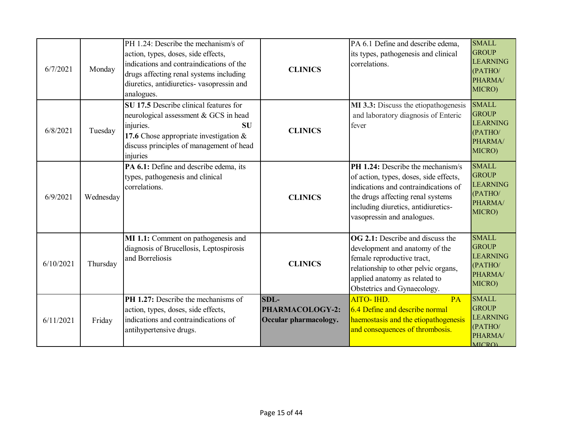| 6/7/2021  | Monday    | PH 1.24: Describe the mechanism/s of<br>action, types, doses, side effects,<br>indications and contraindications of the<br>drugs affecting renal systems including<br>diuretics, antidiuretics- vasopressin and<br>analogues. | <b>CLINICS</b>                                     | PA 6.1 Define and describe edema,<br>its types, pathogenesis and clinical<br>correlations.                                                                                                                                           | <b>SMALL</b><br><b>GROUP</b><br><b>LEARNING</b><br>(PATHO/<br>PHARMA/<br>MICRO)        |
|-----------|-----------|-------------------------------------------------------------------------------------------------------------------------------------------------------------------------------------------------------------------------------|----------------------------------------------------|--------------------------------------------------------------------------------------------------------------------------------------------------------------------------------------------------------------------------------------|----------------------------------------------------------------------------------------|
| 6/8/2021  | Tuesday   | SU 17.5 Describe clinical features for<br>neurological assessment & GCS in head<br>injuries.<br><b>SU</b><br>17.6 Chose appropriate investigation $\&$<br>discuss principles of management of head<br>injuries                | <b>CLINICS</b>                                     | MI 3.3: Discuss the etiopathogenesis<br>and laboratory diagnosis of Enteric<br>fever                                                                                                                                                 | <b>SMALL</b><br><b>GROUP</b><br><b>LEARNING</b><br>(PATHO/<br>PHARMA/<br>MICRO)        |
| 6/9/2021  | Wednesday | PA 6.1: Define and describe edema, its<br>types, pathogenesis and clinical<br>correlations.                                                                                                                                   | <b>CLINICS</b>                                     | <b>PH 1.24:</b> Describe the mechanism/s<br>of action, types, doses, side effects,<br>indications and contraindications of<br>the drugs affecting renal systems<br>including diuretics, antidiuretics-<br>vasopressin and analogues. | <b>SMALL</b><br><b>GROUP</b><br><b>LEARNING</b><br>(PATHO/<br>PHARMA/<br>MICRO)        |
| 6/10/2021 | Thursday  | MI 1.1: Comment on pathogenesis and<br>diagnosis of Brucellosis, Leptospirosis<br>and Borreliosis                                                                                                                             | <b>CLINICS</b>                                     | <b>OG 2.1:</b> Describe and discuss the<br>development and anatomy of the<br>female reproductive tract,<br>relationship to other pelvic organs,<br>applied anatomy as related to<br>Obstetrics and Gynaecology.                      | <b>SMALL</b><br><b>GROUP</b><br><b>LEARNING</b><br>(PATHO/<br>PHARMA/<br>MICRO)        |
| 6/11/2021 | Friday    | <b>PH 1.27:</b> Describe the mechanisms of<br>action, types, doses, side effects,<br>indications and contraindications of<br>antihypertensive drugs.                                                                          | $SDL-$<br>PHARMACOLOGY-2:<br>Occular pharmacology. | AITO- IHD.<br>PA<br>6.4 Define and describe normal<br>haemostasis and the etiopathogenesis<br>and consequences of thrombosis.                                                                                                        | <b>SMALL</b><br><b>GROUP</b><br><b>LEARNING</b><br>(PATHO/<br>PHARMA/<br><b>MICRO)</b> |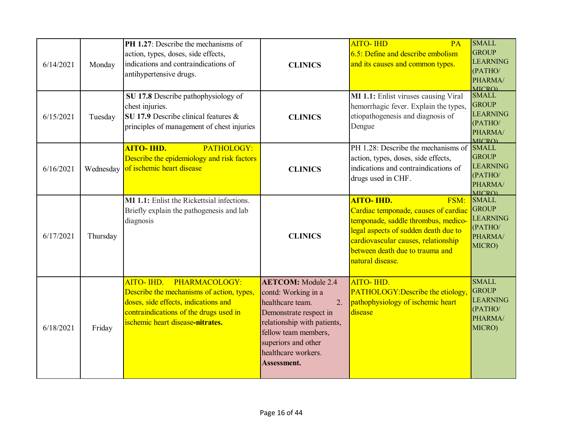| 6/14/2021 | Monday    | PH 1.27: Describe the mechanisms of<br>action, types, doses, side effects,<br>indications and contraindications of<br>antihypertensive drugs.                                                 | <b>CLINICS</b>                                                                                                                                                                                                                         | <b>AITO- IHD</b><br>PA<br>$6.5$ : Define and describe embolism<br>and its causes and common types.                                                                                                                                             | <b>SMALL</b><br><b>GROUP</b><br><b>LEARNING</b><br>(PATHO/<br>PHARMA/<br>MICRO)       |
|-----------|-----------|-----------------------------------------------------------------------------------------------------------------------------------------------------------------------------------------------|----------------------------------------------------------------------------------------------------------------------------------------------------------------------------------------------------------------------------------------|------------------------------------------------------------------------------------------------------------------------------------------------------------------------------------------------------------------------------------------------|---------------------------------------------------------------------------------------|
| 6/15/2021 | Tuesday   | SU 17.8 Describe pathophysiology of<br>chest injuries.<br>SU 17.9 Describe clinical features &<br>principles of management of chest injuries                                                  | <b>CLINICS</b>                                                                                                                                                                                                                         | MI 1.1: Enlist viruses causing Viral<br>hemorrhagic fever. Explain the types,<br>etiopathogenesis and diagnosis of<br>Dengue                                                                                                                   | <b>SMALL</b><br><b>GROUP</b><br><b>LEARNING</b><br>(PATHO/<br>PHARMA/<br><b>MICRO</b> |
| 6/16/2021 | Wednesday | <b>AITO- IHD.</b><br>PATHOLOGY:<br>Describe the epidemiology and risk factors<br>of ischemic heart disease                                                                                    | <b>CLINICS</b>                                                                                                                                                                                                                         | PH 1.28: Describe the mechanisms of<br>action, types, doses, side effects,<br>indications and contraindications of<br>drugs used in CHF.                                                                                                       | <b>SMALL</b><br><b>GROUP</b><br><b>LEARNING</b><br>(PATHO/<br>PHARMA/<br><b>MICRO</b> |
| 6/17/2021 | Thursday  | MI 1.1: Enlist the Rickettsial infections.<br>Briefly explain the pathogenesis and lab<br>diagnosis                                                                                           | <b>CLINICS</b>                                                                                                                                                                                                                         | <b>AITO- IHD.</b><br>FSM:<br>Cardiac temponade, causes of cardiac<br>temponade, saddle thrombus, medico-<br>legal aspects of sudden death due to<br>cardiovascular causes, relationship<br>between death due to trauma and<br>natural disease. | <b>SMALL</b><br><b>GROUP</b><br><b>LEARNING</b><br>(PATHO/<br>PHARMA/<br>MICRO)       |
| 6/18/2021 | Friday    | PHARMACOLOGY:<br>AITO-IHD.<br>Describe the mechanisms of action, types,<br>doses, side effects, indications and<br>contraindications of the drugs used in<br>ischemic heart disease-nitrates. | <b>AETCOM:</b> Module 2.4<br>contd: Working in a<br>$\overline{2}$ .<br>healthcare team.<br>Demonstrate respect in<br>relationship with patients,<br>fellow team members,<br>superiors and other<br>healthcare workers.<br>Assessment. | AITO- IHD.<br>PATHOLOGY: Describe the etiology,<br>pathophysiology of ischemic heart<br>disease                                                                                                                                                | <b>SMALL</b><br><b>GROUP</b><br><b>LEARNING</b><br>(PATHO/<br>PHARMA/<br>MICRO)       |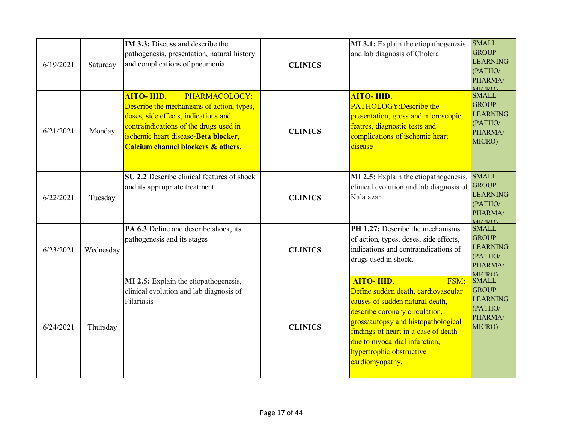| 6/19/2021 | Saturday  | IM 3.3: Discuss and describe the<br>pathogenesis, presentation, natural history<br>and complications of pneumonia                                                                                                                                          | <b>CLINICS</b> | MI 3.1: Explain the etiopathogenesis<br>and lab diagnosis of Cholera                                                                                                                                                                                                                                 | <b>SMALL</b><br><b>GROUP</b><br><b>LEARNING</b><br>(PATHO/<br>PHARMA/<br><b>MICRO</b>  |
|-----------|-----------|------------------------------------------------------------------------------------------------------------------------------------------------------------------------------------------------------------------------------------------------------------|----------------|------------------------------------------------------------------------------------------------------------------------------------------------------------------------------------------------------------------------------------------------------------------------------------------------------|----------------------------------------------------------------------------------------|
| 6/21/2021 | Monday    | <b>AITO- IHD.</b><br>PHARMACOLOGY:<br>Describe the mechanisms of action, types,<br>doses, side effects, indications and<br>contraindications of the drugs used in<br>ischemic heart disease-Beta blocker,<br><b>Calcium channel blockers &amp; others.</b> | <b>CLINICS</b> | <b>AITO- IHD.</b><br><b>PATHOLOGY:Describe the</b><br>presentation, gross and microscopic<br>featres, diagnostic tests and<br>complications of ischemic heart<br>disease                                                                                                                             | <b>SMALL</b><br><b>GROUP</b><br><b>LEARNING</b><br>(PATHO/<br>PHARMA/<br>MICRO)        |
| 6/22/2021 | Tuesday   | SU 2.2 Describe clinical features of shock<br>and its appropriate treatment                                                                                                                                                                                | <b>CLINICS</b> | MI 2.5: Explain the etiopathogenesis,<br>clinical evolution and lab diagnosis of<br>Kala azar                                                                                                                                                                                                        | <b>SMALL</b><br><b>GROUP</b><br><b>LEARNING</b><br>(PATHO/<br>PHARMA/<br><b>MICRO)</b> |
| 6/23/2021 | Wednesday | PA 6.3 Define and describe shock, its<br>pathogenesis and its stages                                                                                                                                                                                       | <b>CLINICS</b> | <b>PH 1.27:</b> Describe the mechanisms<br>of action, types, doses, side effects,<br>indications and contraindications of<br>drugs used in shock.                                                                                                                                                    | <b>SMALL</b><br><b>GROUP</b><br><b>LEARNING</b><br>(PATHO/<br>PHARMA/<br><b>MICRO</b>  |
| 6/24/2021 | Thursday  | MI 2.5: Explain the etiopathogenesis,<br>clinical evolution and lab diagnosis of<br>Filariasis                                                                                                                                                             | <b>CLINICS</b> | <b>AITO- IHD.</b><br>FSM:<br>Define sudden death, cardiovascular<br>causes of sudden natural death,<br>describe coronary circulation,<br>gross/autopsy and histopathological<br>findings of heart in a case of death<br>due to myocardial infarction,<br>hypertrophic obstructive<br>cardiomyopathy, | <b>SMALL</b><br><b>GROUP</b><br><b>LEARNING</b><br>(PATHO/<br>PHARMA/<br>MICRO)        |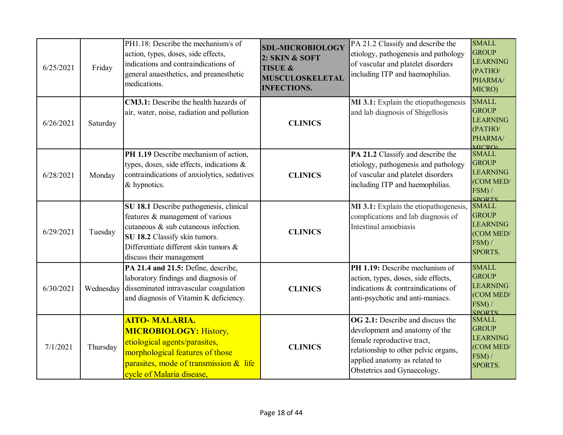| 6/25/2021 | Friday    | PH1.18: Describe the mechanism/s of<br>action, types, doses, side effects,<br>indications and contraindications of<br>general anaesthetics, and preanesthetic<br>medications.                                             | <b>SDL-MICROBIOLOGY</b><br>2: SKIN & SOFT<br><b>TISUE &amp;</b><br><b>MUSCULOSKELETAL</b><br><b>INFECTIONS.</b> | PA 21.2 Classify and describe the<br>etiology, pathogenesis and pathology<br>of vascular and platelet disorders<br>including ITP and haemophilias.                                                              | <b>SMALL</b><br><b>GROUP</b><br><b>LEARNING</b><br>(PATHO/<br>PHARMA/<br>MICRO)          |
|-----------|-----------|---------------------------------------------------------------------------------------------------------------------------------------------------------------------------------------------------------------------------|-----------------------------------------------------------------------------------------------------------------|-----------------------------------------------------------------------------------------------------------------------------------------------------------------------------------------------------------------|------------------------------------------------------------------------------------------|
| 6/26/2021 | Saturday  | CM3.1: Describe the health hazards of<br>air, water, noise, radiation and pollution                                                                                                                                       | <b>CLINICS</b>                                                                                                  | MI 3.1: Explain the etiopathogenesis<br>and lab diagnosis of Shigellosis                                                                                                                                        | <b>SMALL</b><br><b>GROUP</b><br><b>LEARNING</b><br>(PATHO/<br>PHARMA/<br><b>MICRO</b>    |
| 6/28/2021 | Monday    | PH 1.19 Describe mechanism of action,<br>types, doses, side effects, indications &<br>contraindications of anxiolytics, sedatives<br>& hypnotics.                                                                         | <b>CLINICS</b>                                                                                                  | PA 21.2 Classify and describe the<br>etiology, pathogenesis and pathology<br>of vascular and platelet disorders<br>including ITP and haemophilias.                                                              | <b>SMALL</b><br><b>GROUP</b><br><b>LEARNING</b><br>(COM MED/<br>FSM) /<br><b>SPORTS</b>  |
| 6/29/2021 | Tuesday   | SU 18.1 Describe pathogenesis, clinical<br>features & management of various<br>cutaneous & sub cutaneous infection.<br>SU 18.2 Classify skin tumors.<br>Differentiate different skin tumors &<br>discuss their management | <b>CLINICS</b>                                                                                                  | MI 3.1: Explain the etiopathogenesis,<br>complications and lab diagnosis of<br>Intestinal amoebiasis                                                                                                            | <b>SMALL</b><br><b>GROUP</b><br><b>LEARNING</b><br>(COM MED/<br>FSM) /<br><b>SPORTS.</b> |
| 6/30/2021 | Wednesday | PA 21.4 and 21.5: Define, describe,<br>laboratory findings and diagnosis of<br>disseminated intravascular coagulation<br>and diagnosis of Vitamin K deficiency.                                                           | <b>CLINICS</b>                                                                                                  | PH 1.19: Describe mechanism of<br>action, types, doses, side effects,<br>indications & contraindications of<br>anti-psychotic and anti-maniacs.                                                                 | <b>SMALL</b><br><b>GROUP</b><br><b>LEARNING</b><br>(COM MED/<br>FSM) /<br><b>SPORTS</b>  |
| 7/1/2021  | Thursday  | <b>AITO-MALARIA.</b><br><b>MICROBIOLOGY: History,</b><br>etiological agents/parasites,<br>morphological features of those<br>parasites, mode of transmission & life<br>cycle of Malaria disease,                          | <b>CLINICS</b>                                                                                                  | <b>OG 2.1:</b> Describe and discuss the<br>development and anatomy of the<br>female reproductive tract,<br>relationship to other pelvic organs,<br>applied anatomy as related to<br>Obstetrics and Gynaecology. | <b>SMALL</b><br><b>GROUP</b><br><b>LEARNING</b><br>(COM MED/<br>FSM) /<br>SPORTS.        |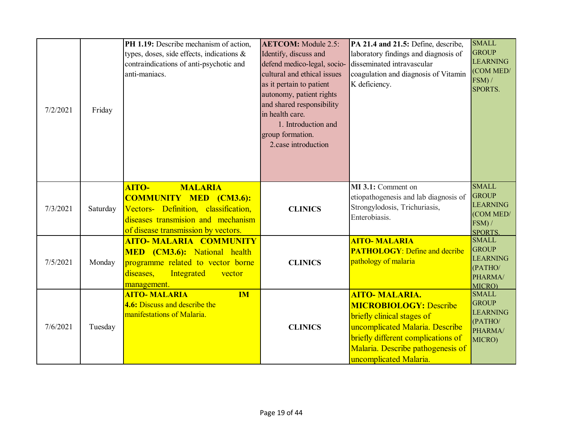| 7/2/2021 | Friday   | PH 1.19: Describe mechanism of action,<br>types, doses, side effects, indications &<br>contraindications of anti-psychotic and<br>anti-maniacs.                               | <b>AETCOM:</b> Module 2.5:<br>Identify, discuss and<br>defend medico-legal, socio-<br>cultural and ethical issues<br>as it pertain to patient<br>autonomy, patient rights<br>and shared responsibility<br>in health care.<br>1. Introduction and<br>group formation.<br>2.case introduction | PA 21.4 and 21.5: Define, describe,<br>laboratory findings and diagnosis of<br>disseminated intravascular<br>coagulation and diagnosis of Vitamin<br>K deficiency.                                                           | <b>SMALL</b><br><b>GROUP</b><br><b>LEARNING</b><br>(COM MED/<br>FSM) /<br>SPORTS.        |
|----------|----------|-------------------------------------------------------------------------------------------------------------------------------------------------------------------------------|---------------------------------------------------------------------------------------------------------------------------------------------------------------------------------------------------------------------------------------------------------------------------------------------|------------------------------------------------------------------------------------------------------------------------------------------------------------------------------------------------------------------------------|------------------------------------------------------------------------------------------|
| 7/3/2021 | Saturday | AITO-<br><b>MALARIA</b><br><b>COMMUNITY MED (CM3.6):</b><br>Vectors- Definition, classification,<br>diseases transmision and mechanism<br>of disease transmission by vectors. | <b>CLINICS</b>                                                                                                                                                                                                                                                                              | MI 3.1: Comment on<br>etiopathogenesis and lab diagnosis of<br>Strongylodosis, Trichuriasis,<br>Enterobiasis.                                                                                                                | <b>SMALL</b><br><b>GROUP</b><br><b>LEARNING</b><br>(COM MED/<br>FSM) /<br><b>SPORTS.</b> |
| 7/5/2021 | Monday   | <b>AITO-MALARIA COMMUNITY</b><br>MED (CM3.6): National health<br>programme related to vector borne<br>Integrated<br>diseases,<br>vector<br>management.                        | <b>CLINICS</b>                                                                                                                                                                                                                                                                              | <b>AITO-MALARIA</b><br><b>PATHOLOGY: Define and decribe</b><br>pathology of malaria                                                                                                                                          | <b>SMALL</b><br><b>GROUP</b><br><b>LEARNING</b><br>(PATHO/<br>PHARMA/<br>MICRO)          |
| 7/6/2021 | Tuesday  | <b>AITO- MALARIA</b><br><b>IM</b><br>4.6: Discuss and describe the<br>manifestations of Malaria.                                                                              | <b>CLINICS</b>                                                                                                                                                                                                                                                                              | <b>AITO- MALARIA.</b><br><b>MICROBIOLOGY: Describe</b><br>briefly clinical stages of<br>uncomplicated Malaria. Describe<br>briefly different complications of<br>Malaria. Describe pathogenesis of<br>uncomplicated Malaria. | <b>SMALL</b><br><b>GROUP</b><br><b>LEARNING</b><br>(PATHO/<br>PHARMA/<br>MICRO)          |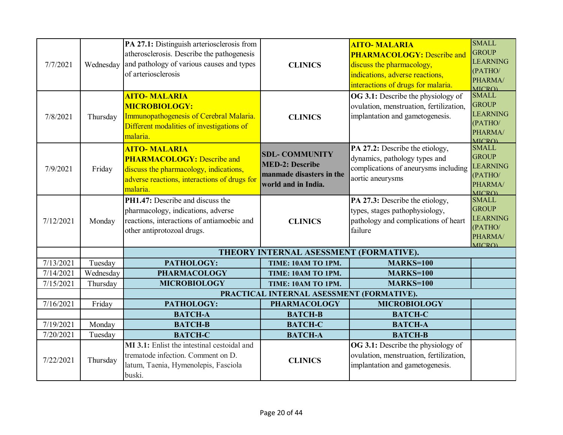| 7/7/2021  | Wednesday | PA 27.1: Distinguish arteriosclerosis from<br>atherosclerosis. Describe the pathogenesis<br>and pathology of various causes and types<br>of arteriosclerosis   | <b>CLINICS</b>                                                                                     | <b>AITO-MALARIA</b><br><b>PHARMACOLOGY: Describe and</b><br>discuss the pharmacology,<br>indications, adverse reactions,<br>interactions of drugs for malaria. | <b>SMALL</b><br><b>GROUP</b><br><b>LEARNING</b><br>(PATHO/<br>PHARMA/<br><b>MICRO</b>  |
|-----------|-----------|----------------------------------------------------------------------------------------------------------------------------------------------------------------|----------------------------------------------------------------------------------------------------|----------------------------------------------------------------------------------------------------------------------------------------------------------------|----------------------------------------------------------------------------------------|
| 7/8/2021  | Thursday  | <b>AITO-MALARIA</b><br><b>MICROBIOLOGY:</b><br>Immunopathogenesis of Cerebral Malaria.<br>Different modalities of investigations of<br>malaria.                | <b>CLINICS</b>                                                                                     | OG 3.1: Describe the physiology of<br>ovulation, menstruation, fertilization,<br>implantation and gametogenesis.                                               | <b>SMALL</b><br><b>GROUP</b><br><b>LEARNING</b><br>(PATHO/<br>PHARMA/<br><b>MICRO</b>  |
| 7/9/2021  | Friday    | <b>AITO-MALARIA</b><br><b>PHARMACOLOGY:</b> Describe and<br>discuss the pharmacology, indications,<br>adverse reactions, interactions of drugs for<br>malaria. | <b>SDL- COMMUNITY</b><br><b>MED-2: Describe</b><br>manmade disasters in the<br>world and in India. | PA 27.2: Describe the etiology,<br>dynamics, pathology types and<br>complications of aneurysms including<br>aortic aneurysms                                   | <b>SMALL</b><br><b>GROUP</b><br><b>LEARNING</b><br>(PATHO/<br>PHARMA/<br><b>MICRO</b>  |
| 7/12/2021 | Monday    | PH1.47: Describe and discuss the<br>pharmacology, indications, adverse<br>reactions, interactions of antiamoebic and<br>other antiprotozoal drugs.             | <b>CLINICS</b>                                                                                     | PA 27.3: Describe the etiology,<br>types, stages pathophysiology,<br>pathology and complications of heart<br>failure                                           | <b>SMALL</b><br><b>GROUP</b><br><b>LEARNING</b><br>(PATHO/<br>PHARMA/<br><b>MICRO)</b> |
|           |           |                                                                                                                                                                | THEORY INTERNAL ASESSMENT (FORMATIVE).                                                             |                                                                                                                                                                |                                                                                        |
| 7/13/2021 | Tuesday   | PATHOLOGY:                                                                                                                                                     | TIME: 10AM TO 1PM.                                                                                 | <b>MARKS=100</b>                                                                                                                                               |                                                                                        |
| 7/14/2021 | Wednesday | <b>PHARMACOLOGY</b>                                                                                                                                            | TIME: 10AM TO 1PM.                                                                                 | <b>MARKS=100</b>                                                                                                                                               |                                                                                        |
| 7/15/2021 | Thursday  | <b>MICROBIOLOGY</b>                                                                                                                                            | TIME: 10AM TO 1PM.                                                                                 | <b>MARKS=100</b>                                                                                                                                               |                                                                                        |
| 7/16/2021 | Friday    | PATHOLOGY:                                                                                                                                                     | PRACTICAL INTERNAL ASESSMENT (FORMATIVE).<br><b>PHARMACOLOGY</b>                                   | <b>MICROBIOLOGY</b>                                                                                                                                            |                                                                                        |
|           |           | <b>BATCH-A</b>                                                                                                                                                 | <b>BATCH-B</b>                                                                                     | <b>BATCH-C</b>                                                                                                                                                 |                                                                                        |
| 7/19/2021 | Monday    | <b>BATCH-B</b>                                                                                                                                                 | <b>BATCH-C</b>                                                                                     | <b>BATCH-A</b>                                                                                                                                                 |                                                                                        |
| 7/20/2021 | Tuesday   | <b>BATCH-C</b>                                                                                                                                                 | <b>BATCH-A</b>                                                                                     | <b>BATCH-B</b>                                                                                                                                                 |                                                                                        |
| 7/22/2021 | Thursday  | MI 3.1: Enlist the intestinal cestoidal and<br>trematode infection. Comment on D.<br>latum, Taenia, Hymenolepis, Fasciola<br>buski.                            | <b>CLINICS</b>                                                                                     | OG 3.1: Describe the physiology of<br>ovulation, menstruation, fertilization,<br>implantation and gametogenesis.                                               |                                                                                        |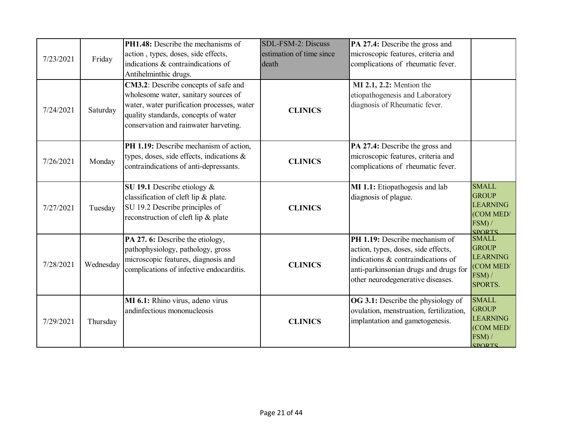| 7/23/2021 | Friday    | PH1.48: Describe the mechanisms of<br>action, types, doses, side effects,<br>indications & contraindications of<br>Antihelminthic drugs.                                                                    | SDL-FSM-2: Discuss<br>estimation of time since<br>death | PA 27.4: Describe the gross and<br>microscopic features, criteria and<br>complications of rheumatic fever.                                                                                |                                                                                         |
|-----------|-----------|-------------------------------------------------------------------------------------------------------------------------------------------------------------------------------------------------------------|---------------------------------------------------------|-------------------------------------------------------------------------------------------------------------------------------------------------------------------------------------------|-----------------------------------------------------------------------------------------|
| 7/24/2021 | Saturday  | CM3.2: Describe concepts of safe and<br>wholesome water, sanitary sources of<br>water, water purification processes, water<br>quality standards, concepts of water<br>conservation and rainwater harveting. | <b>CLINICS</b>                                          | <b>MI 2.1, 2.2:</b> Mention the<br>etiopathogenesis and Laboratory<br>diagnosis of Rheumatic fever.                                                                                       |                                                                                         |
| 7/26/2021 | Monday    | PH 1.19: Describe mechanism of action,<br>types, doses, side effects, indications &<br>contraindications of anti-depressants.                                                                               | <b>CLINICS</b>                                          | PA 27.4: Describe the gross and<br>microscopic features, criteria and<br>complications of rheumatic fever.                                                                                |                                                                                         |
| 7/27/2021 | Tuesday   | SU 19.1 Describe etiology &<br>classification of cleft lip & plate.<br>SU 19.2 Describe principles of<br>reconstruction of cleft lip & plate                                                                | <b>CLINICS</b>                                          | MI 1.1: Etiopathogesis and lab<br>diagnosis of plague.                                                                                                                                    | <b>SMALL</b><br><b>GROUP</b><br><b>LEARNING</b><br>(COM MED/<br>FSM) /<br><b>SPORTS</b> |
| 7/28/2021 | Wednesday | PA 27. 6: Describe the etiology,<br>pathophysiology, pathology, gross<br>microscopic features, diagnosis and<br>complications of infective endocarditis.                                                    | <b>CLINICS</b>                                          | PH 1.19: Describe mechanism of<br>action, types, doses, side effects,<br>indications & contraindications of<br>anti-parkinsonian drugs and drugs for<br>other neurodegenerative diseases. | <b>SMALL</b><br><b>GROUP</b><br><b>LEARNING</b><br>(COM MED/<br>FSM) /<br>SPORTS.       |
| 7/29/2021 | Thursday  | MI 6.1: Rhino virus, adeno virus<br>andinfectious mononucleosis                                                                                                                                             | <b>CLINICS</b>                                          | OG 3.1: Describe the physiology of<br>ovulation, menstruation, fertilization,<br>implantation and gametogenesis.                                                                          | <b>SMALL</b><br><b>GROUP</b><br><b>LEARNING</b><br>(COM MED/<br>FSM) /<br><b>SPORTS</b> |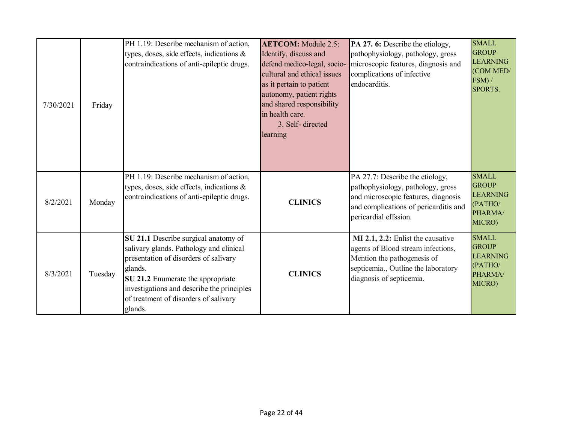| 7/30/2021 | Friday  | PH 1.19: Describe mechanism of action,<br>types, doses, side effects, indications $\&$<br>contraindications of anti-epileptic drugs.                                                                                                                                       | <b>AETCOM:</b> Module 2.5:<br>Identify, discuss and<br>defend medico-legal, socio-<br>cultural and ethical issues<br>as it pertain to patient<br>autonomy, patient rights<br>and shared responsibility<br>in health care.<br>3. Self-directed<br>learning | PA 27. 6: Describe the etiology,<br>pathophysiology, pathology, gross<br>microscopic features, diagnosis and<br>complications of infective<br>endocarditis.                   | <b>SMALL</b><br><b>GROUP</b><br><b>LEARNING</b><br>(COM MED/<br>$FSM$ ) /<br>SPORTS. |
|-----------|---------|----------------------------------------------------------------------------------------------------------------------------------------------------------------------------------------------------------------------------------------------------------------------------|-----------------------------------------------------------------------------------------------------------------------------------------------------------------------------------------------------------------------------------------------------------|-------------------------------------------------------------------------------------------------------------------------------------------------------------------------------|--------------------------------------------------------------------------------------|
| 8/2/2021  | Monday  | PH 1.19: Describe mechanism of action,<br>types, doses, side effects, indications &<br>contraindications of anti-epileptic drugs.                                                                                                                                          | <b>CLINICS</b>                                                                                                                                                                                                                                            | PA 27.7: Describe the etiology,<br>pathophysiology, pathology, gross<br>and microscopic features, diagnosis<br>and complications of pericarditis and<br>pericardial effssion. | <b>SMALL</b><br><b>GROUP</b><br><b>LEARNING</b><br>(PATHO/<br>PHARMA/<br>MICRO)      |
| 8/3/2021  | Tuesday | SU 21.1 Describe surgical anatomy of<br>salivary glands. Pathology and clinical<br>presentation of disorders of salivary<br>glands.<br>SU 21.2 Enumerate the appropriate<br>investigations and describe the principles<br>of treatment of disorders of salivary<br>glands. | <b>CLINICS</b>                                                                                                                                                                                                                                            | MI 2.1, 2.2: Enlist the causative<br>agents of Blood stream infections,<br>Mention the pathogenesis of<br>septicemia., Outline the laboratory<br>diagnosis of septicemia.     | <b>SMALL</b><br><b>GROUP</b><br><b>LEARNING</b><br>(PATHO/<br>PHARMA/<br>MICRO)      |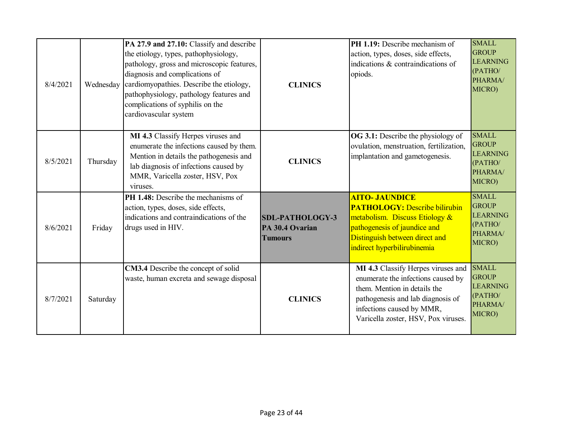| 8/4/2021 | Wednesday | PA 27.9 and 27.10: Classify and describe<br>the etiology, types, pathophysiology,<br>pathology, gross and microscopic features,<br>diagnosis and complications of<br>cardiomyopathies. Describe the etiology,<br>pathophysiology, pathology features and<br>complications of syphilis on the<br>cardiovascular system | <b>CLINICS</b>                                              | PH 1.19: Describe mechanism of<br>action, types, doses, side effects,<br>indications & contraindications of<br>opiods.                                                                                            | <b>SMALL</b><br><b>GROUP</b><br><b>LEARNING</b><br>(PATHO/<br>PHARMA/<br>MICRO) |
|----------|-----------|-----------------------------------------------------------------------------------------------------------------------------------------------------------------------------------------------------------------------------------------------------------------------------------------------------------------------|-------------------------------------------------------------|-------------------------------------------------------------------------------------------------------------------------------------------------------------------------------------------------------------------|---------------------------------------------------------------------------------|
| 8/5/2021 | Thursday  | MI 4.3 Classify Herpes viruses and<br>enumerate the infections caused by them.<br>Mention in details the pathogenesis and<br>lab diagnosis of infections caused by<br>MMR, Varicella zoster, HSV, Pox<br>viruses.                                                                                                     | <b>CLINICS</b>                                              | <b>OG 3.1:</b> Describe the physiology of<br>ovulation, menstruation, fertilization,<br>implantation and gametogenesis.                                                                                           | <b>SMALL</b><br><b>GROUP</b><br><b>LEARNING</b><br>(PATHO/<br>PHARMA/<br>MICRO) |
| 8/6/2021 | Friday    | <b>PH 1.48:</b> Describe the mechanisms of<br>action, types, doses, side effects,<br>indications and contraindications of the<br>drugs used in HIV.                                                                                                                                                                   | <b>SDL-PATHOLOGY-3</b><br>PA 30.4 Ovarian<br><b>Tumours</b> | <b>AITO- JAUNDICE</b><br><b>PATHOLOGY:</b> Describe bilirubin<br>metabolism. Discuss Etiology &<br>pathogenesis of jaundice and<br>Distinguish between direct and<br>indirect hyperbilirubinemia                  | <b>SMALL</b><br><b>GROUP</b><br><b>LEARNING</b><br>(PATHO/<br>PHARMA/<br>MICRO) |
| 8/7/2021 | Saturday  | CM3.4 Describe the concept of solid<br>waste, human excreta and sewage disposal                                                                                                                                                                                                                                       | <b>CLINICS</b>                                              | MI 4.3 Classify Herpes viruses and<br>enumerate the infections caused by<br>them. Mention in details the<br>pathogenesis and lab diagnosis of<br>infections caused by MMR,<br>Varicella zoster, HSV, Pox viruses. | <b>SMALL</b><br><b>GROUP</b><br><b>LEARNING</b><br>(PATHO/<br>PHARMA/<br>MICRO) |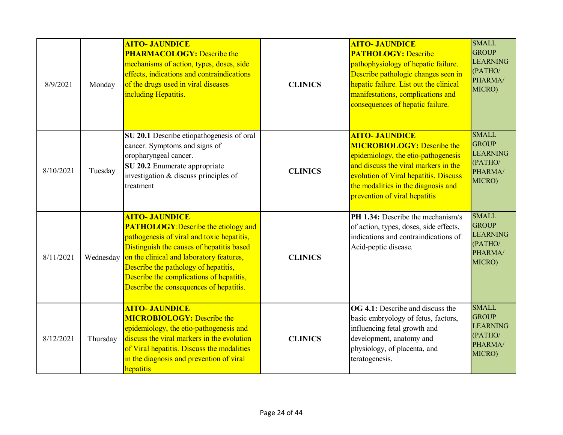| 8/9/2021  | Monday    | <b>AITO- JAUNDICE</b><br><b>PHARMACOLOGY:</b> Describe the<br>mechanisms of action, types, doses, side<br>effects, indications and contraindications<br>of the drugs used in viral diseases<br>including Hepatitis.                                                                                                                        | <b>CLINICS</b> | <b>AITO- JAUNDICE</b><br><b>PATHOLOGY: Describe</b><br>pathophysiology of hepatic failure.<br>Describe pathologic changes seen in<br>hepatic failure. List out the clinical<br>manifestations, complications and<br>consequences of hepatic failure.       | <b>SMALL</b><br><b>GROUP</b><br><b>LEARNING</b><br>(PATHO/<br>PHARMA/<br>MICRO) |
|-----------|-----------|--------------------------------------------------------------------------------------------------------------------------------------------------------------------------------------------------------------------------------------------------------------------------------------------------------------------------------------------|----------------|------------------------------------------------------------------------------------------------------------------------------------------------------------------------------------------------------------------------------------------------------------|---------------------------------------------------------------------------------|
| 8/10/2021 | Tuesday   | SU 20.1 Describe etiopathogenesis of oral<br>cancer. Symptoms and signs of<br>oropharyngeal cancer.<br>SU 20.2 Enumerate appropriate<br>investigation & discuss principles of<br>treatment                                                                                                                                                 | <b>CLINICS</b> | <b>AITO- JAUNDICE</b><br><b>MICROBIOLOGY: Describe the</b><br>epidemiology, the etio-pathogenesis<br>and discuss the viral markers in the<br>evolution of Viral hepatitis. Discuss<br>the modalities in the diagnosis and<br>prevention of viral hepatitis | <b>SMALL</b><br><b>GROUP</b><br><b>LEARNING</b><br>(PATHO/<br>PHARMA/<br>MICRO) |
| 8/11/2021 | Wednesday | <b>AITO- JAUNDICE</b><br><b>PATHOLOGY: Describe the etiology and</b><br>pathogenesis of viral and toxic hepatitis,<br>Distinguish the causes of hepatitis based<br>on the clinical and laboratory features,<br>Describe the pathology of hepatitis,<br>Describe the complications of hepatitis,<br>Describe the consequences of hepatitis. | <b>CLINICS</b> | <b>PH 1.34:</b> Describe the mechanism/s<br>of action, types, doses, side effects,<br>indications and contraindications of<br>Acid-peptic disease.                                                                                                         | <b>SMALL</b><br><b>GROUP</b><br><b>LEARNING</b><br>(PATHO/<br>PHARMA/<br>MICRO) |
| 8/12/2021 | Thursday  | <b>AITO- JAUNDICE</b><br><b>MICROBIOLOGY:</b> Describe the<br>epidemiology, the etio-pathogenesis and<br>discuss the viral markers in the evolution<br>of Viral hepatitis. Discuss the modalities<br>in the diagnosis and prevention of viral<br>hepatitis                                                                                 | <b>CLINICS</b> | <b>OG 4.1:</b> Describe and discuss the<br>basic embryology of fetus, factors,<br>influencing fetal growth and<br>development, anatomy and<br>physiology, of placenta, and<br>teratogenesis.                                                               | <b>SMALL</b><br><b>GROUP</b><br><b>LEARNING</b><br>(PATHO/<br>PHARMA/<br>MICRO) |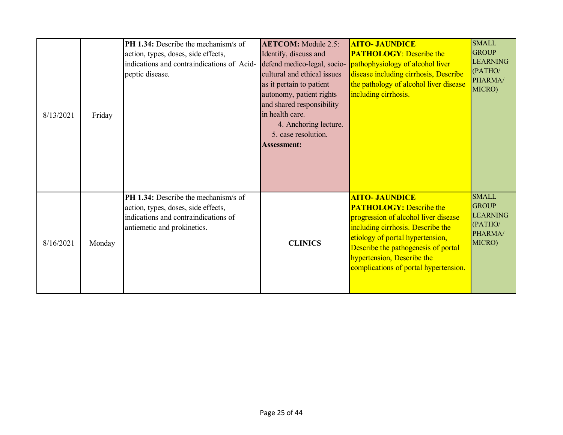| 8/13/2021 | Friday | PH 1.34: Describe the mechanism/s of<br>action, types, doses, side effects,<br>indications and contraindications of Acid-<br>peptic disease.       | <b>AETCOM:</b> Module 2.5:<br>Identify, discuss and<br>defend medico-legal, socio-<br>cultural and ethical issues<br>as it pertain to patient<br>autonomy, patient rights<br>and shared responsibility<br>in health care.<br>4. Anchoring lecture.<br>5. case resolution.<br><b>Assessment:</b> | <b>AITO- JAUNDICE</b><br><b>PATHOLOGY: Describe the</b><br><i>pathophysiology of alcohol liver</i><br>disease including cirrhosis, Describe<br>the pathology of alcohol liver disease<br>including cirrhosis.                                                                          | <b>SMALL</b><br><b>GROUP</b><br><b>LEARNING</b><br>(PATHO/<br>PHARMA/<br>MICRO) |
|-----------|--------|----------------------------------------------------------------------------------------------------------------------------------------------------|-------------------------------------------------------------------------------------------------------------------------------------------------------------------------------------------------------------------------------------------------------------------------------------------------|----------------------------------------------------------------------------------------------------------------------------------------------------------------------------------------------------------------------------------------------------------------------------------------|---------------------------------------------------------------------------------|
| 8/16/2021 | Monday | PH 1.34: Describe the mechanism/s of<br>action, types, doses, side effects,<br>indications and contraindications of<br>antiemetic and prokinetics. | <b>CLINICS</b>                                                                                                                                                                                                                                                                                  | <b>AITO- JAUNDICE</b><br><b>PATHOLOGY: Describe the</b><br>progression of alcohol liver disease<br>including cirrhosis. Describe the<br>etiology of portal hypertension,<br>Describe the pathogenesis of portal<br>hypertension, Describe the<br>complications of portal hypertension. | <b>SMALL</b><br><b>GROUP</b><br><b>LEARNING</b><br>(PATHO/<br>PHARMA/<br>MICRO) |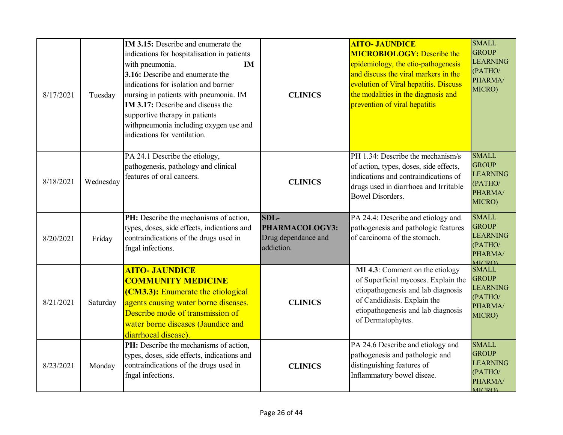| 8/17/2021 | Tuesday   | IM 3.15: Describe and enumerate the<br>indications for hospitalisation in patients<br>with pneumonia.<br><b>IM</b><br>3.16: Describe and enumerate the<br>indications for isolation and barrier<br>nursing in patients with pneumonia. IM<br>IM 3.17: Describe and discuss the<br>supportive therapy in patients<br>withpneumonia including oxygen use and<br>indications for ventilation. | <b>CLINICS</b>                                              | <b>AITO- JAUNDICE</b><br><b>MICROBIOLOGY: Describe the</b><br>epidemiology, the etio-pathogenesis<br>and discuss the viral markers in the<br>evolution of Viral hepatitis. Discuss<br>the modalities in the diagnosis and<br>prevention of viral hepatitis | <b>SMALL</b><br><b>GROUP</b><br><b>LEARNING</b><br>(PATHO/<br>PHARMA/<br>MICRO)        |
|-----------|-----------|--------------------------------------------------------------------------------------------------------------------------------------------------------------------------------------------------------------------------------------------------------------------------------------------------------------------------------------------------------------------------------------------|-------------------------------------------------------------|------------------------------------------------------------------------------------------------------------------------------------------------------------------------------------------------------------------------------------------------------------|----------------------------------------------------------------------------------------|
| 8/18/2021 | Wednesday | PA 24.1 Describe the etiology,<br>pathogenesis, pathology and clinical<br>features of oral cancers.                                                                                                                                                                                                                                                                                        | <b>CLINICS</b>                                              | PH 1.34: Describe the mechanism/s<br>of action, types, doses, side effects,<br>indications and contraindications of<br>drugs used in diarrhoea and Irritable<br><b>Bowel Disorders.</b>                                                                    | <b>SMALL</b><br><b>GROUP</b><br><b>LEARNING</b><br>(PATHO/<br>PHARMA/<br>MICRO)        |
| 8/20/2021 | Friday    | PH: Describe the mechanisms of action,<br>types, doses, side effects, indications and<br>contraindications of the drugs used in<br>fngal infections.                                                                                                                                                                                                                                       | SDL-<br>PHARMACOLOGY3:<br>Drug dependance and<br>addiction. | PA 24.4: Describe and etiology and<br>pathogenesis and pathologic features<br>of carcinoma of the stomach.                                                                                                                                                 | <b>SMALL</b><br><b>GROUP</b><br><b>LEARNING</b><br>(PATHO/<br>PHARMA/<br><b>MICRO)</b> |
| 8/21/2021 | Saturday  | <b>AITO- JAUNDICE</b><br><b>COMMUNITY MEDICINE</b><br>(CM3.3): Enumerate the etiological<br>agents causing water borne diseases.<br>Describe mode of transmission of<br>water borne diseases (Jaundice and<br>diarrhoeal disease).                                                                                                                                                         | <b>CLINICS</b>                                              | MI 4.3: Comment on the etiology<br>of Superficial mycoses. Explain the<br>etiopathogenesis and lab diagnosis<br>of Candidiasis. Explain the<br>etiopathogenesis and lab diagnosis<br>of Dermatophytes.                                                     | <b>SMALL</b><br><b>GROUP</b><br><b>LEARNING</b><br>(PATHO/<br>PHARMA/<br>MICRO)        |
| 8/23/2021 | Monday    | PH: Describe the mechanisms of action,<br>types, doses, side effects, indications and<br>contraindications of the drugs used in<br>fngal infections.                                                                                                                                                                                                                                       | <b>CLINICS</b>                                              | PA 24.6 Describe and etiology and<br>pathogenesis and pathologic and<br>distinguishing features of<br>Inflammatory bowel diseae.                                                                                                                           | <b>SMALL</b><br><b>GROUP</b><br><b>LEARNING</b><br>(PATHO/<br>PHARMA/<br>MICRO)        |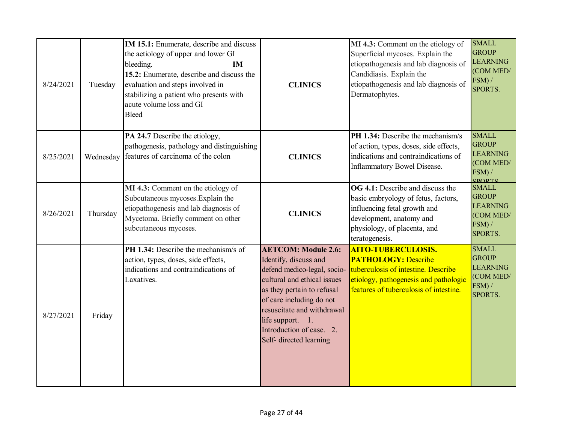| 8/24/2021 | Tuesday   | IM 15.1: Enumerate, describe and discuss<br>the aetiology of upper and lower GI<br>bleeding.<br><b>IM</b><br>15.2: Enumerate, describe and discuss the<br>evaluation and steps involved in<br>stabilizing a patient who presents with<br>acute volume loss and GI<br><b>Bleed</b> | <b>CLINICS</b>                                                                                                                                                                                                                                                                       | MI 4.3: Comment on the etiology of<br>Superficial mycoses. Explain the<br>etiopathogenesis and lab diagnosis of<br>Candidiasis. Explain the<br>etiopathogenesis and lab diagnosis of<br>Dermatophytes. | <b>SMALL</b><br><b>GROUP</b><br><b>LEARNING</b><br>(COM MED/<br>$FSM$ ) /<br>SPORTS.    |
|-----------|-----------|-----------------------------------------------------------------------------------------------------------------------------------------------------------------------------------------------------------------------------------------------------------------------------------|--------------------------------------------------------------------------------------------------------------------------------------------------------------------------------------------------------------------------------------------------------------------------------------|--------------------------------------------------------------------------------------------------------------------------------------------------------------------------------------------------------|-----------------------------------------------------------------------------------------|
| 8/25/2021 | Wednesday | PA 24.7 Describe the etiology,<br>pathogenesis, pathology and distinguishing<br>features of carcinoma of the colon                                                                                                                                                                | <b>CLINICS</b>                                                                                                                                                                                                                                                                       | PH 1.34: Describe the mechanism/s<br>of action, types, doses, side effects,<br>indications and contraindications of<br>Inflammatory Bowel Disease.                                                     | <b>SMALL</b><br><b>GROUP</b><br><b>LEARNING</b><br>(COM MED/<br>FSM) /<br><b>SPORTS</b> |
| 8/26/2021 | Thursday  | MI 4.3: Comment on the etiology of<br>Subcutaneous mycoses. Explain the<br>etiopathogenesis and lab diagnosis of<br>Mycetoma. Briefly comment on other<br>subcutaneous mycoses.                                                                                                   | <b>CLINICS</b>                                                                                                                                                                                                                                                                       | <b>OG 4.1:</b> Describe and discuss the<br>basic embryology of fetus, factors,<br>influencing fetal growth and<br>development, anatomy and<br>physiology, of placenta, and<br>teratogenesis.           | <b>SMALL</b><br><b>GROUP</b><br><b>LEARNING</b><br>(COM MED/<br>FSM) /<br>SPORTS.       |
| 8/27/2021 | Friday    | <b>PH 1.34:</b> Describe the mechanism/s of<br>action, types, doses, side effects,<br>indications and contraindications of<br>Laxatives.                                                                                                                                          | <b>AETCOM: Module 2.6:</b><br>Identify, discuss and<br>defend medico-legal, socio-<br>cultural and ethical issues<br>as they pertain to refusal<br>of care including do not<br>resuscitate and withdrawal<br>life support. 1.<br>Introduction of case. 2.<br>Self- directed learning | <b>AITO-TUBERCULOSIS.</b><br><b>PATHOLOGY: Describe</b><br>tuberculosis of intestine. Describe<br>etiology, pathogenesis and pathologic<br>features of tuberculosis of intestine.                      | <b>SMALL</b><br><b>GROUP</b><br><b>LEARNING</b><br>(COM MED/<br>$FSM$ ) /<br>SPORTS.    |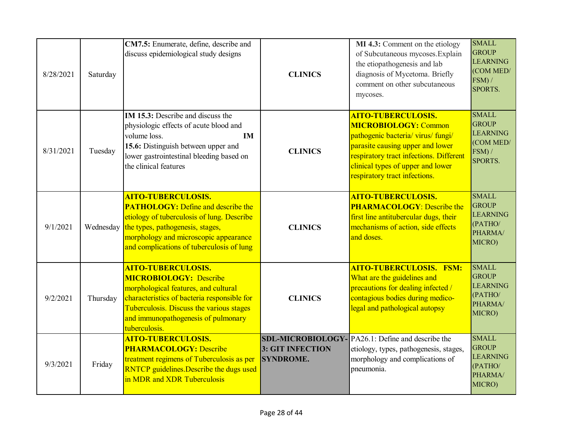| 8/28/2021 | Saturday  | CM7.5: Enumerate, define, describe and<br>discuss epidemiological study designs                                                                                                                                                                       | <b>CLINICS</b>                                                  | MI 4.3: Comment on the etiology<br>of Subcutaneous mycoses. Explain<br>the etiopathogenesis and lab<br>diagnosis of Mycetoma. Briefly<br>comment on other subcutaneous<br>mycoses.                                                                  | <b>SMALL</b><br><b>GROUP</b><br><b>LEARNING</b><br>(COM MED/<br>FSM) /<br>SPORTS.    |
|-----------|-----------|-------------------------------------------------------------------------------------------------------------------------------------------------------------------------------------------------------------------------------------------------------|-----------------------------------------------------------------|-----------------------------------------------------------------------------------------------------------------------------------------------------------------------------------------------------------------------------------------------------|--------------------------------------------------------------------------------------|
| 8/31/2021 | Tuesday   | <b>IM 15.3:</b> Describe and discuss the<br>physiologic effects of acute blood and<br>volume loss.<br><b>IM</b><br>15.6: Distinguish between upper and<br>lower gastrointestinal bleeding based on<br>the clinical features                           | <b>CLINICS</b>                                                  | <b>AITO-TUBERCULOSIS.</b><br><b>MICROBIOLOGY: Common</b><br>pathogenic bacteria/ virus/ fungi/<br>parasite causing upper and lower<br>respiratory tract infections. Different<br>clinical types of upper and lower<br>respiratory tract infections. | <b>SMALL</b><br><b>GROUP</b><br><b>LEARNING</b><br>(COM MED/<br>$FSM$ ) /<br>SPORTS. |
| 9/1/2021  | Wednesday | <b>AITO-TUBERCULOSIS.</b><br><b>PATHOLOGY:</b> Define and describe the<br>etiology of tuberculosis of lung. Describe<br>the types, pathogenesis, stages,<br>morphology and microscopic appearance<br>and complications of tuberculosis of lung        | <b>CLINICS</b>                                                  | <b>AITO-TUBERCULOSIS.</b><br><b>PHARMACOLOGY: Describe the</b><br>first line antitubercular dugs, their<br>mechanisms of action, side effects<br>and doses.                                                                                         | <b>SMALL</b><br><b>GROUP</b><br><b>LEARNING</b><br>(PATHO/<br>PHARMA/<br>MICRO)      |
| 9/2/2021  | Thursday  | <b>AITO-TUBERCULOSIS.</b><br><b>MICROBIOLOGY: Describe</b><br>morphological features, and cultural<br>characteristics of bacteria responsible for<br>Tuberculosis. Discuss the various stages<br>and immunopathogenesis of pulmonary<br>tuberculosis. | <b>CLINICS</b>                                                  | <b>AITO-TUBERCULOSIS. FSM:</b><br>What are the guidelines and<br>precautions for dealing infected /<br>contagious bodies during medico-<br>legal and pathological autopsy                                                                           | <b>SMALL</b><br><b>GROUP</b><br><b>LEARNING</b><br>(PATHO/<br>PHARMA/<br>MICRO)      |
| 9/3/2021  | Friday    | <b>AITO-TUBERCULOSIS.</b><br><b>PHARMACOLOGY: Describe</b><br>treatment regimens of Tuberculosis as per<br><b>RNTCP</b> guidelines. Describe the dugs used<br>in MDR and XDR Tuberculosis                                                             | <b>SDL-MICROBIOLOGY</b><br>3: GIT INFECTION<br><b>SYNDROME.</b> | PA26.1: Define and describe the<br>etiology, types, pathogenesis, stages,<br>morphology and complications of<br>pneumonia.                                                                                                                          | <b>SMALL</b><br><b>GROUP</b><br><b>LEARNING</b><br>(PATHO/<br>PHARMA/<br>MICRO)      |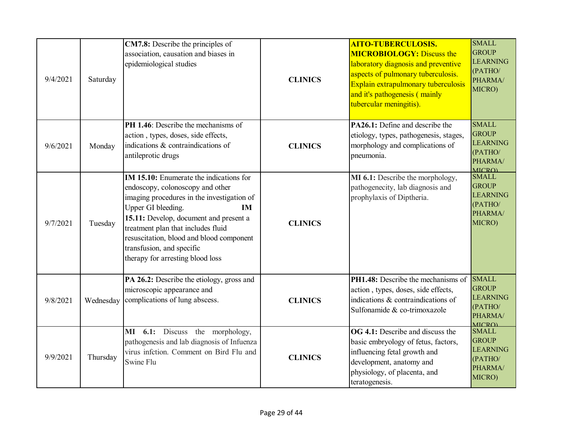| 9/4/2021 | Saturday  | CM7.8: Describe the principles of<br>association, causation and biases in<br>epidemiological studies                                                                                                                                                                                                                                                      | <b>CLINICS</b> | <b>AITO-TUBERCULOSIS.</b><br><b>MICROBIOLOGY: Discuss the</b><br>laboratory diagnosis and preventive<br>aspects of pulmonary tuberculosis.<br>Explain extrapulmonary tuberculosis<br>and it's pathogenesis (mainly<br>tubercular meningitis). | <b>SMALL</b><br><b>GROUP</b><br><b>LEARNING</b><br>(PATHO/<br>PHARMA/<br>MICRO)        |
|----------|-----------|-----------------------------------------------------------------------------------------------------------------------------------------------------------------------------------------------------------------------------------------------------------------------------------------------------------------------------------------------------------|----------------|-----------------------------------------------------------------------------------------------------------------------------------------------------------------------------------------------------------------------------------------------|----------------------------------------------------------------------------------------|
| 9/6/2021 | Monday    | <b>PH 1.46</b> : Describe the mechanisms of<br>action, types, doses, side effects,<br>indications & contraindications of<br>antileprotic drugs                                                                                                                                                                                                            | <b>CLINICS</b> | <b>PA26.1:</b> Define and describe the<br>etiology, types, pathogenesis, stages,<br>morphology and complications of<br>pneumonia.                                                                                                             | <b>SMALL</b><br><b>GROUP</b><br><b>LEARNING</b><br>(PATHO/<br>PHARMA/<br><b>MICRO</b>  |
| 9/7/2021 | Tuesday   | <b>IM 15.10:</b> Enumerate the indications for<br>endoscopy, colonoscopy and other<br>imaging procedures in the investigation of<br>Upper GI bleeding.<br>IM<br>15.11: Develop, document and present a<br>treatment plan that includes fluid<br>resuscitation, blood and blood component<br>transfusion, and specific<br>therapy for arresting blood loss | <b>CLINICS</b> | MI 6.1: Describe the morphology,<br>pathogenecity, lab diagnosis and<br>prophylaxis of Diptheria.                                                                                                                                             | <b>SMALL</b><br><b>GROUP</b><br><b>LEARNING</b><br>(PATHO/<br>PHARMA/<br>MICRO)        |
| 9/8/2021 | Wednesday | PA 26.2: Describe the etiology, gross and<br>microscopic appearance and<br>complications of lung abscess.                                                                                                                                                                                                                                                 | <b>CLINICS</b> | <b>PH1.48:</b> Describe the mechanisms of<br>action, types, doses, side effects,<br>indications & contraindications of<br>Sulfonamide & co-trimoxazole                                                                                        | <b>SMALL</b><br><b>GROUP</b><br><b>LEARNING</b><br>(PATHO/<br>PHARMA/<br><b>MICRO)</b> |
| 9/9/2021 | Thursday  | MI 6.1: Discuss the morphology,<br>pathogenesis and lab diagnosis of Infuenza<br>virus infetion. Comment on Bird Flu and<br>Swine Flu                                                                                                                                                                                                                     | <b>CLINICS</b> | <b>OG 4.1:</b> Describe and discuss the<br>basic embryology of fetus, factors,<br>influencing fetal growth and<br>development, anatomy and<br>physiology, of placenta, and<br>teratogenesis.                                                  | <b>SMALL</b><br><b>GROUP</b><br><b>LEARNING</b><br>(PATHO/<br>PHARMA/<br>MICRO)        |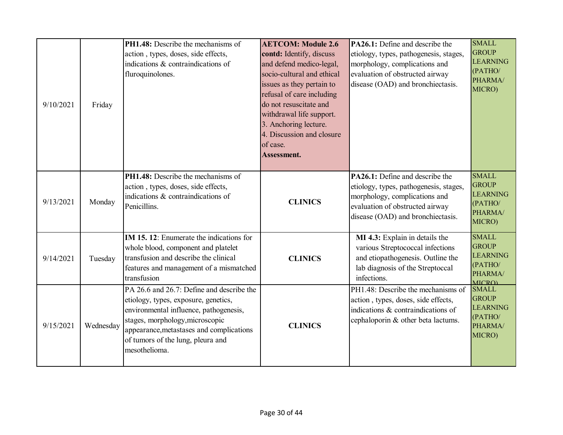| 9/10/2021 | Friday    | PH1.48: Describe the mechanisms of<br>action, types, doses, side effects,<br>indications & contraindications of<br>fluroquinolones.                                                                                                                              | <b>AETCOM: Module 2.6</b><br>contd: Identify, discuss<br>and defend medico-legal,<br>socio-cultural and ethical<br>issues as they pertain to<br>refusal of care including<br>do not resuscitate and<br>withdrawal life support.<br>3. Anchoring lecture.<br>4. Discussion and closure<br>of case.<br>Assessment. | PA26.1: Define and describe the<br>etiology, types, pathogenesis, stages,<br>morphology, complications and<br>evaluation of obstructed airway<br>disease (OAD) and bronchiectasis.        | <b>SMALL</b><br><b>GROUP</b><br><b>LEARNING</b><br>(PATHO/<br>PHARMA/<br>MICRO)       |
|-----------|-----------|------------------------------------------------------------------------------------------------------------------------------------------------------------------------------------------------------------------------------------------------------------------|------------------------------------------------------------------------------------------------------------------------------------------------------------------------------------------------------------------------------------------------------------------------------------------------------------------|-------------------------------------------------------------------------------------------------------------------------------------------------------------------------------------------|---------------------------------------------------------------------------------------|
| 9/13/2021 | Monday    | PH1.48: Describe the mechanisms of<br>action, types, doses, side effects,<br>indications & contraindications of<br>Penicillins.                                                                                                                                  | <b>CLINICS</b>                                                                                                                                                                                                                                                                                                   | <b>PA26.1:</b> Define and describe the<br>etiology, types, pathogenesis, stages,<br>morphology, complications and<br>evaluation of obstructed airway<br>disease (OAD) and bronchiectasis. | <b>SMALL</b><br><b>GROUP</b><br><b>LEARNING</b><br>(PATHO/<br>PHARMA/<br>MICRO)       |
| 9/14/2021 | Tuesday   | IM 15. 12: Enumerate the indications for<br>whole blood, component and platelet<br>transfusion and describe the clinical<br>features and management of a mismatched<br>transfusion                                                                               | <b>CLINICS</b>                                                                                                                                                                                                                                                                                                   | MI 4.3: Explain in details the<br>various Streptococcal infections<br>and etiopathogenesis. Outline the<br>lab diagnosis of the Streptoccal<br>infections.                                | <b>SMALL</b><br><b>GROUP</b><br><b>LEARNING</b><br>(PATHO/<br>PHARMA/<br><b>MICRO</b> |
| 9/15/2021 | Wednesday | PA 26.6 and 26.7: Define and describe the<br>etiology, types, exposure, genetics,<br>environmental influence, pathogenesis,<br>stages, morphology, microscopic<br>appearance, metastases and complications<br>of tumors of the lung, pleura and<br>mesothelioma. | <b>CLINICS</b>                                                                                                                                                                                                                                                                                                   | PH1.48: Describe the mechanisms of<br>action, types, doses, side effects,<br>indications & contraindications of<br>cephaloporin & other beta lactums.                                     | <b>SMALL</b><br><b>GROUP</b><br><b>LEARNING</b><br>(PATHO/<br>PHARMA/<br>MICRO)       |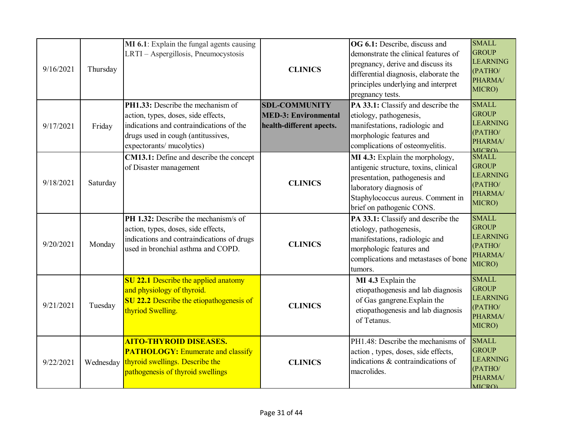| 9/16/2021 | Thursday  | MI 6.1: Explain the fungal agents causing<br>LRTI - Aspergillosis, Pneumocystosis                                                                                                       | <b>CLINICS</b>                                                                  | OG 6.1: Describe, discuss and<br>demonstrate the clinical features of<br>pregnancy, derive and discuss its<br>differential diagnosis, elaborate the<br>principles underlying and interpret<br>pregnancy tests. | <b>SMALL</b><br><b>GROUP</b><br><b>LEARNING</b><br>(PATHO/<br>PHARMA/<br>MICRO)        |
|-----------|-----------|-----------------------------------------------------------------------------------------------------------------------------------------------------------------------------------------|---------------------------------------------------------------------------------|----------------------------------------------------------------------------------------------------------------------------------------------------------------------------------------------------------------|----------------------------------------------------------------------------------------|
| 9/17/2021 | Friday    | PH1.33: Describe the mechanism of<br>action, types, doses, side effects,<br>indications and contraindications of the<br>drugs used in cough (antitussives,<br>expectorants/ mucolytics) | <b>SDL-COMMUNITY</b><br><b>MED-3: Environmental</b><br>health-different apects. | PA 33.1: Classify and describe the<br>etiology, pathogenesis,<br>manifestations, radiologic and<br>morphologic features and<br>complications of osteomyelitis.                                                 | <b>SMALL</b><br><b>GROUP</b><br><b>LEARNING</b><br>(PATHO/<br>PHARMA/<br><b>MICRO)</b> |
| 9/18/2021 | Saturday  | CM13.1: Define and describe the concept<br>of Disaster management                                                                                                                       | <b>CLINICS</b>                                                                  | MI 4.3: Explain the morphology,<br>antigenic structure, toxins, clinical<br>presentation, pathogenesis and<br>laboratory diagnosis of<br>Staphylococcus aureus. Comment in<br>brief on pathogenic CONS.        | <b>SMALL</b><br><b>GROUP</b><br><b>LEARNING</b><br>(PATHO/<br>PHARMA/<br>MICRO)        |
| 9/20/2021 | Monday    | <b>PH 1.32:</b> Describe the mechanism/s of<br>action, types, doses, side effects,<br>indications and contraindications of drugs<br>used in bronchial asthma and COPD.                  | <b>CLINICS</b>                                                                  | PA 33.1: Classify and describe the<br>etiology, pathogenesis,<br>manifestations, radiologic and<br>morphologic features and<br>complications and metastases of bone<br>tumors.                                 | <b>SMALL</b><br><b>GROUP</b><br><b>LEARNING</b><br>(PATHO/<br>PHARMA/<br>MICRO)        |
| 9/21/2021 | Tuesday   | <b>SU 22.1 Describe the applied anatomy</b><br>and physiology of thyroid.<br>SU 22.2 Describe the etiopathogenesis of<br>thyriod Swelling.                                              | <b>CLINICS</b>                                                                  | MI 4.3 Explain the<br>etiopathogenesis and lab diagnosis<br>of Gas gangrene. Explain the<br>etiopathogenesis and lab diagnosis<br>of Tetanus.                                                                  | <b>SMALL</b><br><b>GROUP</b><br><b>LEARNING</b><br>(PATHO/<br>PHARMA/<br>MICRO)        |
| 9/22/2021 | Wednesday | <b>AITO-THYROID DISEASES.</b><br><b>PATHOLOGY: Enumerate and classify</b><br>thyroid swellings. Describe the<br>pathogenesis of thyroid swellings                                       | <b>CLINICS</b>                                                                  | PH1.48: Describe the mechanisms of<br>action, types, doses, side effects,<br>indications & contraindications of<br>macrolides.                                                                                 | <b>SMALL</b><br><b>GROUP</b><br><b>LEARNING</b><br>(PATHO/<br>PHARMA/<br><b>MICRO)</b> |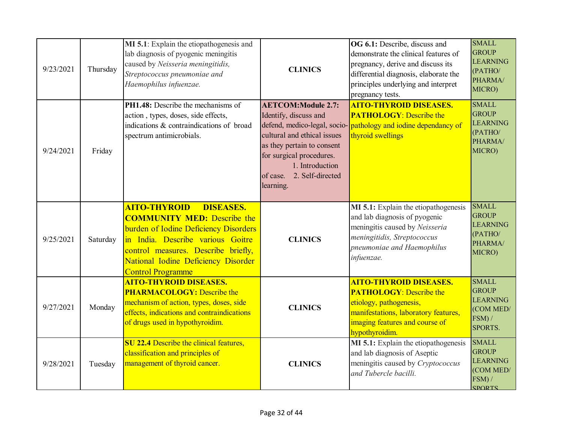| 9/23/2021 | Thursday | MI 5.1: Explain the etiopathogenesis and<br>lab diagnosis of pyogenic meningitis<br>caused by Neisseria meningitidis,<br>Streptococcus pneumoniae and<br>Haemophilus infuenzae.                                                                                       | <b>CLINICS</b>                                                                                                                                                                                           | OG 6.1: Describe, discuss and<br>demonstrate the clinical features of<br>pregnancy, derive and discuss its<br>differential diagnosis, elaborate the<br>principles underlying and interpret<br>pregnancy tests. | <b>SMALL</b><br><b>GROUP</b><br><b>LEARNING</b><br>(PATHO/<br>PHARMA/<br>MICRO)         |
|-----------|----------|-----------------------------------------------------------------------------------------------------------------------------------------------------------------------------------------------------------------------------------------------------------------------|----------------------------------------------------------------------------------------------------------------------------------------------------------------------------------------------------------|----------------------------------------------------------------------------------------------------------------------------------------------------------------------------------------------------------------|-----------------------------------------------------------------------------------------|
| 9/24/2021 | Friday   | <b>PH1.48:</b> Describe the mechanisms of<br>action, types, doses, side effects,<br>indications & contraindications of broad<br>spectrum antimicrobials.                                                                                                              | <b>AETCOM:Module 2.7:</b><br>Identify, discuss and<br>cultural and ethical issues<br>as they pertain to consent<br>for surgical procedures.<br>1. Introduction<br>of case. 2. Self-directed<br>learning. | <b>AITO-THYROID DISEASES.</b><br><b>PATHOLOGY: Describe the</b><br>defend, medico-legal, socio-pathology and iodine dependancy of<br>thyroid swellings                                                         | <b>SMALL</b><br><b>GROUP</b><br><b>LEARNING</b><br>(PATHO/<br>PHARMA/<br>MICRO)         |
| 9/25/2021 | Saturday | <b>AITO-THYROID</b><br><b>DISEASES.</b><br><b>COMMUNITY MED:</b> Describe the<br>burden of Iodine Deficiency Disorders<br>in India. Describe various Goitre<br>control measures. Describe briefly,<br>National Iodine Deficiency Disorder<br><b>Control Programme</b> | <b>CLINICS</b>                                                                                                                                                                                           | MI 5.1: Explain the etiopathogenesis<br>and lab diagnosis of pyogenic<br>meningitis caused by Neisseria<br>meningitidis, Streptococcus<br>pneumoniae and Haemophilus<br>infuenzae.                             | <b>SMALL</b><br><b>GROUP</b><br><b>LEARNING</b><br>(PATHO/<br>PHARMA/<br>MICRO)         |
| 9/27/2021 | Monday   | <b>AITO-THYROID DISEASES.</b><br><b>PHARMACOLOGY:</b> Describe the<br>mechanism of action, types, doses, side<br>effects, indications and contraindications<br>of drugs used in hypothyroidim.                                                                        | <b>CLINICS</b>                                                                                                                                                                                           | <b>AITO-THYROID DISEASES.</b><br><b>PATHOLOGY:</b> Describe the<br>etiology, pathogenesis,<br>manifestations, laboratory features,<br>imaging features and course of<br>hypothyroidim.                         | <b>SMALL</b><br><b>GROUP</b><br><b>LEARNING</b><br>(COM MED/<br>FSM) /<br>SPORTS.       |
| 9/28/2021 | Tuesday  | <b>SU 22.4 Describe the clinical features,</b><br>classification and principles of<br>management of thyroid cancer.                                                                                                                                                   | <b>CLINICS</b>                                                                                                                                                                                           | MI 5.1: Explain the etiopathogenesis<br>and lab diagnosis of Aseptic<br>meningitis caused by Cryptococcus<br>and Tubercle bacilli.                                                                             | <b>SMALL</b><br><b>GROUP</b><br><b>LEARNING</b><br>(COM MED/<br>FSM) /<br><b>SPORTS</b> |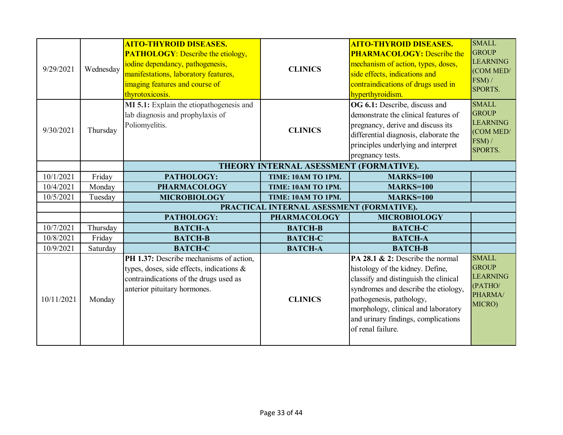| 9/29/2021  | Wednesday | <b>AITO-THYROID DISEASES.</b><br><b>PATHOLOGY:</b> Describe the etiology,<br>iodine dependancy, pathogenesis,<br>manifestations, laboratory features,<br>imaging features and course of<br>thyrotoxicosis. | <b>CLINICS</b>                            | <b>AITO-THYROID DISEASES.</b><br><b>PHARMACOLOGY:</b> Describe the<br>mechanism of action, types, doses,<br>side effects, indications and<br>contraindications of drugs used in<br>hyperthyroidism.                                                                                  | <b>SMALL</b><br><b>GROUP</b><br><b>LEARNING</b><br>(COM MED/<br>FSM) /<br><b>SPORTS.</b> |
|------------|-----------|------------------------------------------------------------------------------------------------------------------------------------------------------------------------------------------------------------|-------------------------------------------|--------------------------------------------------------------------------------------------------------------------------------------------------------------------------------------------------------------------------------------------------------------------------------------|------------------------------------------------------------------------------------------|
| 9/30/2021  | Thursday  | MI 5.1: Explain the etiopathogenesis and<br>lab diagnosis and prophylaxis of<br>Poliomyelitis.                                                                                                             | <b>CLINICS</b>                            | OG 6.1: Describe, discuss and<br>demonstrate the clinical features of<br>pregnancy, derive and discuss its<br>differential diagnosis, elaborate the<br>principles underlying and interpret<br>pregnancy tests.                                                                       | <b>SMALL</b><br><b>GROUP</b><br><b>LEARNING</b><br>(COM MED/<br>$FSM$ ) /<br>SPORTS.     |
|            |           |                                                                                                                                                                                                            | THEORY INTERNAL ASESSMENT (FORMATIVE).    |                                                                                                                                                                                                                                                                                      |                                                                                          |
| 10/1/2021  | Friday    | PATHOLOGY:                                                                                                                                                                                                 | TIME: 10AM TO 1PM.                        | <b>MARKS=100</b>                                                                                                                                                                                                                                                                     |                                                                                          |
| 10/4/2021  | Monday    | <b>PHARMACOLOGY</b>                                                                                                                                                                                        | TIME: 10AM TO 1PM.                        | <b>MARKS=100</b>                                                                                                                                                                                                                                                                     |                                                                                          |
| 10/5/2021  | Tuesday   | <b>MICROBIOLOGY</b>                                                                                                                                                                                        | TIME: 10AM TO 1PM.                        | <b>MARKS=100</b>                                                                                                                                                                                                                                                                     |                                                                                          |
|            |           |                                                                                                                                                                                                            | PRACTICAL INTERNAL ASESSMENT (FORMATIVE). |                                                                                                                                                                                                                                                                                      |                                                                                          |
|            |           | PATHOLOGY:                                                                                                                                                                                                 | <b>PHARMACOLOGY</b>                       | <b>MICROBIOLOGY</b>                                                                                                                                                                                                                                                                  |                                                                                          |
| 10/7/2021  | Thursday  | <b>BATCH-A</b>                                                                                                                                                                                             | <b>BATCH-B</b>                            | <b>BATCH-C</b>                                                                                                                                                                                                                                                                       |                                                                                          |
| 10/8/2021  | Friday    | <b>BATCH-B</b>                                                                                                                                                                                             | <b>BATCH-C</b>                            | <b>BATCH-A</b>                                                                                                                                                                                                                                                                       |                                                                                          |
| 10/9/2021  | Saturday  | <b>BATCH-C</b>                                                                                                                                                                                             | <b>BATCH-A</b>                            | <b>BATCH-B</b>                                                                                                                                                                                                                                                                       |                                                                                          |
| 10/11/2021 | Monday    | PH 1.37: Describe mechanisms of action,<br>types, doses, side effects, indications &<br>contraindications of the drugs used as<br>anterior pituitary hormones.                                             | <b>CLINICS</b>                            | PA 28.1 & 2: Describe the normal<br>histology of the kidney. Define,<br>classify and distinguish the clinical<br>syndromes and describe the etiology,<br>pathogenesis, pathology,<br>morphology, clinical and laboratory<br>and urinary findings, complications<br>of renal failure. | <b>SMALL</b><br><b>GROUP</b><br><b>LEARNING</b><br>(PATHO/<br>PHARMA/<br>MICRO)          |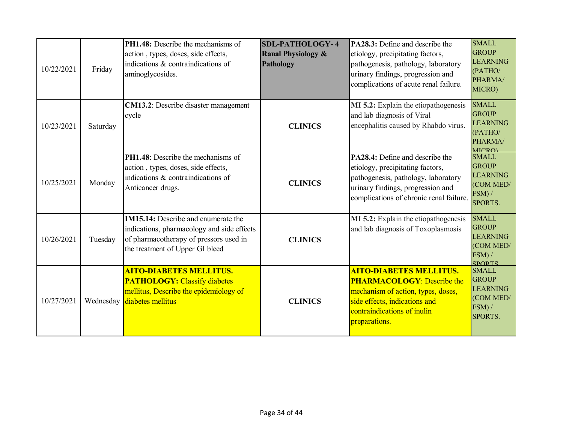| 10/22/2021 | Friday    | <b>PH1.48:</b> Describe the mechanisms of<br>action, types, doses, side effects,<br>indications & contraindications of<br>aminoglycosides.                            | <b>SDL-PATHOLOGY-4</b><br><b>Ranal Physiology &amp;</b><br>Pathology | <b>PA28.3:</b> Define and describe the<br>etiology, precipitating factors,<br>pathogenesis, pathology, laboratory<br>urinary findings, progression and<br>complications of acute renal failure. | <b>SMALL</b><br><b>GROUP</b><br><b>LEARNING</b><br>(PATHO/<br>PHARMA/<br>MICRO)          |
|------------|-----------|-----------------------------------------------------------------------------------------------------------------------------------------------------------------------|----------------------------------------------------------------------|-------------------------------------------------------------------------------------------------------------------------------------------------------------------------------------------------|------------------------------------------------------------------------------------------|
| 10/23/2021 | Saturday  | <b>CM13.2</b> : Describe disaster management<br>cycle                                                                                                                 | <b>CLINICS</b>                                                       | MI 5.2: Explain the etiopathogenesis<br>and lab diagnosis of Viral<br>encephalitis caused by Rhabdo virus.                                                                                      | <b>SMALL</b><br><b>GROUP</b><br><b>LEARNING</b><br>(PATHO/<br>PHARMA/<br><b>MICRO)</b>   |
| 10/25/2021 | Monday    | <b>PH1.48</b> : Describe the mechanisms of<br>action, types, doses, side effects,<br>indications & contraindications of<br>Anticancer drugs.                          | <b>CLINICS</b>                                                       | PA28.4: Define and describe the<br>etiology, precipitating factors,<br>pathogenesis, pathology, laboratory<br>urinary findings, progression and<br>complications of chronic renal failure.      | <b>SMALL</b><br><b>GROUP</b><br><b>LEARNING</b><br>(COM MED/<br>$FSM$ ) /<br>SPORTS.     |
| 10/26/2021 | Tuesday   | <b>IM15.14:</b> Describe and enumerate the<br>indications, pharmacology and side effects<br>of pharmacotherapy of pressors used in<br>the treatment of Upper GI bleed | <b>CLINICS</b>                                                       | MI 5.2: Explain the etiopathogenesis<br>and lab diagnosis of Toxoplasmosis                                                                                                                      | <b>SMALL</b><br><b>GROUP</b><br><b>LEARNING</b><br>(COM MED/<br>FSM) /<br><b>SPORTS</b>  |
| 10/27/2021 | Wednesday | <b>AITO-DIABETES MELLITUS.</b><br><b>PATHOLOGY: Classify diabetes</b><br>mellitus, Describe the epidemiology of<br>diabetes mellitus                                  | <b>CLINICS</b>                                                       | <b>AITO-DIABETES MELLITUS.</b><br><b>PHARMACOLOGY:</b> Describe the<br>mechanism of action, types, doses,<br>side effects, indications and<br>contraindications of inulin<br>preparations.      | <b>SMALL</b><br><b>GROUP</b><br><b>LEARNING</b><br>(COM MED/<br>FSM) /<br><b>SPORTS.</b> |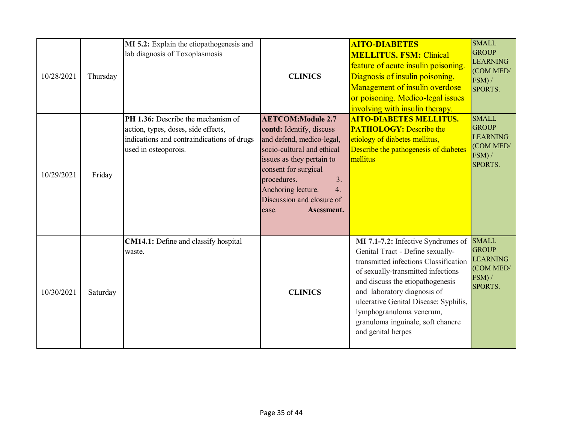| 10/28/2021 | Thursday | MI 5.2: Explain the etiopathogenesis and<br>lab diagnosis of Toxoplasmosis                                                                      | <b>CLINICS</b>                                                                                                                                                                                                                                                            | <b>AITO-DIABETES</b><br><b>MELLITUS. FSM: Clinical</b><br>feature of acute insulin poisoning.<br>Diagnosis of insulin poisoning.<br>Management of insulin overdose<br>or poisoning. Medico-legal issues<br>involving with insulin therapy.                                                                                                               | <b>SMALL</b><br><b>GROUP</b><br><b>LEARNING</b><br>(COM MED/<br>FSM) /<br>SPORTS. |
|------------|----------|-------------------------------------------------------------------------------------------------------------------------------------------------|---------------------------------------------------------------------------------------------------------------------------------------------------------------------------------------------------------------------------------------------------------------------------|----------------------------------------------------------------------------------------------------------------------------------------------------------------------------------------------------------------------------------------------------------------------------------------------------------------------------------------------------------|-----------------------------------------------------------------------------------|
| 10/29/2021 | Friday   | PH 1.36: Describe the mechanism of<br>action, types, doses, side effects,<br>indications and contraindications of drugs<br>used in osteoporois. | <b>AETCOM:Module 2.7</b><br>contd: Identify, discuss<br>and defend, medico-legal,<br>socio-cultural and ethical<br>issues as they pertain to<br>consent for surgical<br>procedures.<br>3.<br>Anchoring lecture.<br>4.<br>Discussion and closure of<br>Asessment.<br>case. | <b>AITO-DIABETES MELLITUS.</b><br><b>PATHOLOGY:</b> Describe the<br>etiology of diabetes mellitus,<br>Describe the pathogenesis of diabetes<br>mellitus                                                                                                                                                                                                  | <b>SMALL</b><br><b>GROUP</b><br><b>LEARNING</b><br>(COM MED/<br>FSM) /<br>SPORTS. |
| 10/30/2021 | Saturday | <b>CM14.1:</b> Define and classify hospital<br>waste.                                                                                           | <b>CLINICS</b>                                                                                                                                                                                                                                                            | MI 7.1-7.2: Infective Syndromes of<br>Genital Tract - Define sexually-<br>transmitted infections Classification<br>of sexually-transmitted infections<br>and discuss the etiopathogenesis<br>and laboratory diagnosis of<br>ulcerative Genital Disease: Syphilis,<br>lymphogranuloma venerum,<br>granuloma inguinale, soft chancre<br>and genital herpes | <b>SMALL</b><br><b>GROUP</b><br><b>LEARNING</b><br>(COM MED/<br>FSM) /<br>SPORTS. |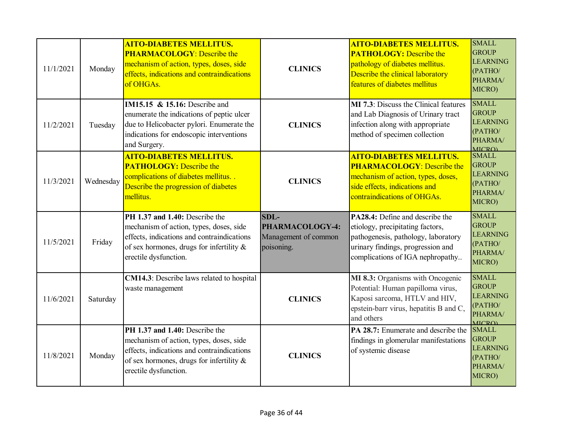| 11/1/2021 | Monday    | <b>AITO-DIABETES MELLITUS.</b><br><b>PHARMACOLOGY: Describe the</b><br>mechanism of action, types, doses, side<br>effects, indications and contraindications<br>of OHGAs.                       | <b>CLINICS</b>                                                | <b>AITO-DIABETES MELLITUS.</b><br><b>PATHOLOGY:</b> Describe the<br>pathology of diabetes mellitus.<br>Describe the clinical laboratory<br>features of diabetes mellitus                                     | <b>SMALL</b><br><b>GROUP</b><br><b>LEARNING</b><br>(PATHO/<br>PHARMA/<br>MICRO)                       |
|-----------|-----------|-------------------------------------------------------------------------------------------------------------------------------------------------------------------------------------------------|---------------------------------------------------------------|--------------------------------------------------------------------------------------------------------------------------------------------------------------------------------------------------------------|-------------------------------------------------------------------------------------------------------|
| 11/2/2021 | Tuesday   | <b>IM15.15 &amp; 15.16:</b> Describe and<br>enumerate the indications of peptic ulcer<br>due to Helicobacter pylori. Enumerate the<br>indications for endoscopic interventions<br>and Surgery.  | <b>CLINICS</b>                                                | <b>MI</b> 7.3: Discuss the Clinical features<br>and Lab Diagnosis of Urinary tract<br>infection along with appropriate<br>method of specimen collection                                                      | <b>SMALL</b><br><b>GROUP</b><br><b>LEARNING</b><br>(PATHO/<br>PHARMA/<br><b>MICROL</b>                |
| 11/3/2021 | Wednesday | <b>AITO-DIABETES MELLITUS.</b><br><b>PATHOLOGY:</b> Describe the<br>complications of diabetes mellitus<br>Describe the progression of diabetes<br>mellitus.                                     | <b>CLINICS</b>                                                | <b>AITO-DIABETES MELLITUS.</b><br><b>PHARMACOLOGY:</b> Describe the<br>mechanism of action, types, doses,<br>side effects, indications and<br>contraindications of OHGAs.                                    | <b>SMALL</b><br><b>GROUP</b><br><b>LEARNING</b><br>(PATHO/<br>PHARMA/<br>MICRO)                       |
|           |           |                                                                                                                                                                                                 |                                                               |                                                                                                                                                                                                              |                                                                                                       |
| 11/5/2021 | Friday    | PH 1.37 and 1.40: Describe the<br>mechanism of action, types, doses, side<br>effects, indications and contraindications<br>of sex hormones, drugs for infertility $\&$<br>erectile dysfunction. | SDL-<br>PHARMACOLOGY-4:<br>Management of common<br>poisoning. | PA28.4: Define and describe the<br>etiology, precipitating factors,<br>pathogenesis, pathology, laboratory<br>urinary findings, progression and<br>complications of IGA nephropathy                          | <b>SMALL</b><br><b>GROUP</b><br><b>LEARNING</b><br>(PATHO/<br>PHARMA/<br>MICRO)                       |
| 11/6/2021 | Saturday  | CM14.3: Describe laws related to hospital<br>waste management<br>PH 1.37 and 1.40: Describe the                                                                                                 | <b>CLINICS</b>                                                | MI 8.3: Organisms with Oncogenic<br>Potential: Human papilloma virus,<br>Kaposi sarcoma, HTLV and HIV,<br>epstein-barr virus, hepatitis B and C,<br>and others<br><b>PA 28.7:</b> Enumerate and describe the | <b>SMALL</b><br><b>GROUP</b><br><b>LEARNING</b><br>(PATHO/<br>PHARMA/<br><b>MICRO</b><br><b>SMALL</b> |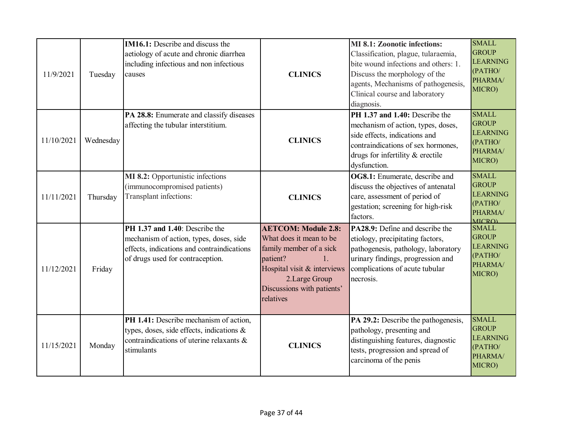| 11/9/2021  | Tuesday   | <b>IM16.1:</b> Describe and discuss the<br>aetiology of acute and chronic diarrhea<br>including infectious and non infectious<br>causes                     | <b>CLINICS</b>                                                                                                                                                                                | <b>MI 8.1: Zoonotic infections:</b><br>Classification, plague, tularaemia,<br>bite wound infections and others: 1.<br>Discuss the morphology of the<br>agents, Mechanisms of pathogenesis,<br>Clinical course and laboratory<br>diagnosis. | <b>SMALL</b><br><b>GROUP</b><br><b>LEARNING</b><br>(PATHO/<br>PHARMA/<br>MICRO)        |
|------------|-----------|-------------------------------------------------------------------------------------------------------------------------------------------------------------|-----------------------------------------------------------------------------------------------------------------------------------------------------------------------------------------------|--------------------------------------------------------------------------------------------------------------------------------------------------------------------------------------------------------------------------------------------|----------------------------------------------------------------------------------------|
| 11/10/2021 | Wednesday | PA 28.8: Enumerate and classify diseases<br>affecting the tubular interstitium.                                                                             | <b>CLINICS</b>                                                                                                                                                                                | PH 1.37 and 1.40: Describe the<br>mechanism of action, types, doses,<br>side effects, indications and<br>contraindications of sex hormones,<br>drugs for infertility & erectile<br>dysfunction.                                            | <b>SMALL</b><br><b>GROUP</b><br><b>LEARNING</b><br>(PATHO/<br>PHARMA/<br>MICRO)        |
| 11/11/2021 | Thursday  | MI 8.2: Opportunistic infections<br>(immunocompromised patients)<br>Transplant infections:                                                                  | <b>CLINICS</b>                                                                                                                                                                                | OG8.1: Enumerate, describe and<br>discuss the objectives of antenatal<br>care, assessment of period of<br>gestation; screening for high-risk<br>factors.                                                                                   | <b>SMALL</b><br><b>GROUP</b><br><b>LEARNING</b><br>(PATHO/<br>PHARMA/<br><b>MICRO)</b> |
| 11/12/2021 | Friday    | PH 1.37 and 1.40: Describe the<br>mechanism of action, types, doses, side<br>effects, indications and contraindications<br>of drugs used for contraception. | <b>AETCOM: Module 2.8:</b><br>What does it mean to be<br>family member of a sick<br>patient?<br>1.<br>Hospital visit & interviews<br>2.Large Group<br>Discussions with patients'<br>relatives | <b>PA28.9:</b> Define and describe the<br>etiology, precipitating factors,<br>pathogenesis, pathology, laboratory<br>urinary findings, progression and<br>complications of acute tubular<br>necrosis.                                      | <b>SMALL</b><br><b>GROUP</b><br><b>LEARNING</b><br>(PATHO/<br>PHARMA/<br>MICRO)        |
| 11/15/2021 | Monday    | PH 1.41: Describe mechanism of action,<br>types, doses, side effects, indications &<br>contraindications of uterine relaxants &<br>stimulants               | <b>CLINICS</b>                                                                                                                                                                                | PA 29.2: Describe the pathogenesis,<br>pathology, presenting and<br>distinguishing features, diagnostic<br>tests, progression and spread of<br>carcinoma of the penis                                                                      | <b>SMALL</b><br><b>GROUP</b><br><b>LEARNING</b><br>(PATHO/<br>PHARMA/<br>MICRO)        |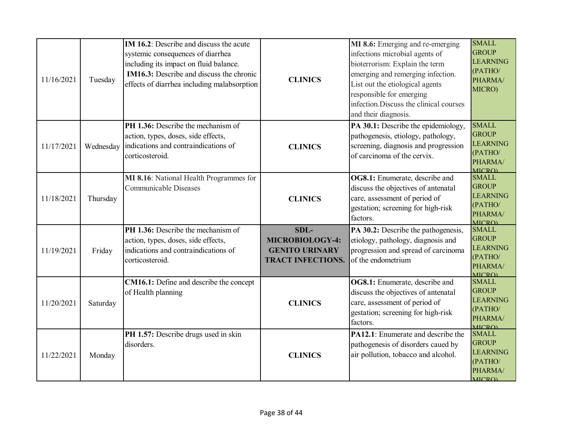| 11/16/2021 | Tuesday   | IM 16.2: Describe and discuss the acute<br>systemic consequences of diarrhea<br>including its impact on fluid balance.<br><b>IM16.3:</b> Describe and discuss the chronic<br>effects of diarrhea including malabsorption | <b>CLINICS</b>                                                               | MI 8.6: Emerging and re-emerging<br>infections microbial agents of<br>bioterrorism: Explain the term<br>emerging and remerging infection.<br>List out the etiological agents<br>responsible for emerging<br>infection. Discuss the clinical courses<br>and their diagnosis. | <b>SMALL</b><br><b>GROUP</b><br><b>LEARNING</b><br>(PATHO/<br>PHARMA/<br>MICRO)        |
|------------|-----------|--------------------------------------------------------------------------------------------------------------------------------------------------------------------------------------------------------------------------|------------------------------------------------------------------------------|-----------------------------------------------------------------------------------------------------------------------------------------------------------------------------------------------------------------------------------------------------------------------------|----------------------------------------------------------------------------------------|
| 11/17/2021 | Wednesday | PH 1.36: Describe the mechanism of<br>action, types, doses, side effects,<br>indications and contraindications of<br>corticosteroid.                                                                                     | <b>CLINICS</b>                                                               | PA 30.1: Describe the epidemiology,<br>pathogenesis, etiology, pathology,<br>screening, diagnosis and progression<br>of carcinoma of the cervix.                                                                                                                            | <b>SMALL</b><br><b>GROUP</b><br><b>LEARNING</b><br>(PATHO/<br>PHARMA/<br><b>MICRO)</b> |
| 11/18/2021 | Thursday  | MI 8.16: National Health Programmes for<br><b>Communicable Diseases</b>                                                                                                                                                  | <b>CLINICS</b>                                                               | OG8.1: Enumerate, describe and<br>discuss the objectives of antenatal<br>care, assessment of period of<br>gestation; screening for high-risk<br>factors.                                                                                                                    | <b>SMALL</b><br><b>GROUP</b><br><b>LEARNING</b><br>(PATHO/<br>PHARMA/<br><b>MICRO</b>  |
| 11/19/2021 | Friday    | PH 1.36: Describe the mechanism of<br>action, types, doses, side effects,<br>indications and contraindications of<br>corticosteroid.                                                                                     | SDL-<br>MICROBIOLOGY-4:<br><b>GENITO URINARY</b><br><b>TRACT INFECTIONS.</b> | PA 30.2: Describe the pathogenesis,<br>etiology, pathology, diagnosis and<br>progression and spread of carcinoma<br>of the endometrium                                                                                                                                      | <b>SMALL</b><br><b>GROUP</b><br><b>LEARNING</b><br>(PATHO/<br>PHARMA/<br><b>MICRO</b>  |
| 11/20/2021 | Saturday  | CM16.1: Define and describe the concept<br>of Health planning                                                                                                                                                            | <b>CLINICS</b>                                                               | OG8.1: Enumerate, describe and<br>discuss the objectives of antenatal<br>care, assessment of period of<br>gestation; screening for high-risk<br>factors.                                                                                                                    | <b>SMALL</b><br><b>GROUP</b><br><b>LEARNING</b><br>(PATHO/<br>PHARMA/<br><b>MICRO)</b> |
| 11/22/2021 | Monday    | PH 1.57: Describe drugs used in skin<br>disorders.                                                                                                                                                                       | <b>CLINICS</b>                                                               | PA12.1: Enumerate and describe the<br>pathogenesis of disorders caued by<br>air pollution, tobacco and alcohol.                                                                                                                                                             | <b>SMALL</b><br><b>GROUP</b><br><b>LEARNING</b><br>(PATHO/<br>PHARMA/<br><b>MICRO)</b> |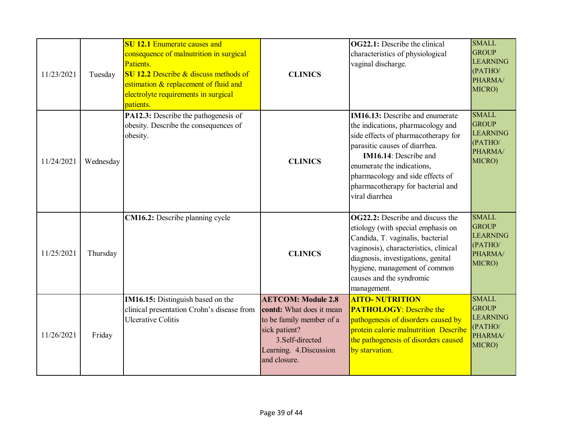| 11/23/2021 | Tuesday   | <b>SU 12.1 Enumerate causes and</b><br>consequence of malnutrition in surgical<br>Patients.<br>$\overline{\text{SU 12.2}}$ Describe & discuss methods of<br>estimation & replacement of fluid and<br>electrolyte requirements in surgical<br>patients. | <b>CLINICS</b>                                                                                                                                                   | <b>OG22.1:</b> Describe the clinical<br>characteristics of physiological<br>vaginal discharge.                                                                                                                                                                                                        | <b>SMALL</b><br><b>GROUP</b><br><b>LEARNING</b><br>(PATHO/<br>PHARMA/<br>MICRO) |
|------------|-----------|--------------------------------------------------------------------------------------------------------------------------------------------------------------------------------------------------------------------------------------------------------|------------------------------------------------------------------------------------------------------------------------------------------------------------------|-------------------------------------------------------------------------------------------------------------------------------------------------------------------------------------------------------------------------------------------------------------------------------------------------------|---------------------------------------------------------------------------------|
| 11/24/2021 | Wednesday | PA12.3: Describe the pathogenesis of<br>obesity. Describe the consequences of<br>obesity.                                                                                                                                                              | <b>CLINICS</b>                                                                                                                                                   | <b>IM16.13:</b> Describe and enumerate<br>the indications, pharmacology and<br>side effects of pharmacotherapy for<br>parasitic causes of diarrhea.<br>IM16.14: Describe and<br>enumerate the indications,<br>pharmacology and side effects of<br>pharmacotherapy for bacterial and<br>viral diarrhea | <b>SMALL</b><br><b>GROUP</b><br><b>LEARNING</b><br>(PATHO/<br>PHARMA/<br>MICRO) |
| 11/25/2021 | Thursday  | CM16.2: Describe planning cycle                                                                                                                                                                                                                        | <b>CLINICS</b>                                                                                                                                                   | <b>OG22.2:</b> Describe and discuss the<br>etiology (with special emphasis on<br>Candida, T. vaginalis, bacterial<br>vaginosis), characteristics, clinical<br>diagnosis, investigations, genital<br>hygiene, management of common<br>causes and the syndromic<br>management.                          | <b>SMALL</b><br><b>GROUP</b><br><b>LEARNING</b><br>(PATHO/<br>PHARMA/<br>MICRO) |
| 11/26/2021 | Friday    | IM16.15: Distinguish based on the<br>clinical presentation Crohn's disease from<br><b>Ulcerative Colitis</b>                                                                                                                                           | <b>AETCOM: Module 2.8</b><br>contd: What does it mean<br>to be family member of a<br>sick patient?<br>3.Self-directed<br>Learning. 4. Discussion<br>and closure. | <b>AITO- NUTRITION</b><br><b>PATHOLOGY:</b> Describe the<br>pathogenesis of disorders caused by<br>protein calorie malnutrition Describe<br>the pathogenesis of disorders caused<br>by starvation.                                                                                                    | <b>SMALL</b><br><b>GROUP</b><br><b>LEARNING</b><br>(PATHO/<br>PHARMA/<br>MICRO) |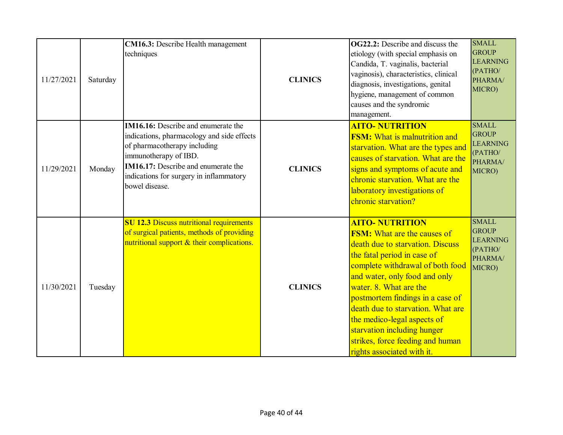| 11/27/2021 | Saturday | <b>CM16.3:</b> Describe Health management<br>techniques                                                                                                                                                                                                      | <b>CLINICS</b> | <b>OG22.2:</b> Describe and discuss the<br>etiology (with special emphasis on<br>Candida, T. vaginalis, bacterial<br>vaginosis), characteristics, clinical<br>diagnosis, investigations, genital<br>hygiene, management of common<br>causes and the syndromic<br>management.                                                                                                                                                            | <b>SMALL</b><br><b>GROUP</b><br><b>LEARNING</b><br>(PATHO/<br>PHARMA/<br>MICRO) |
|------------|----------|--------------------------------------------------------------------------------------------------------------------------------------------------------------------------------------------------------------------------------------------------------------|----------------|-----------------------------------------------------------------------------------------------------------------------------------------------------------------------------------------------------------------------------------------------------------------------------------------------------------------------------------------------------------------------------------------------------------------------------------------|---------------------------------------------------------------------------------|
| 11/29/2021 | Monday   | <b>IM16.16:</b> Describe and enumerate the<br>indications, pharmacology and side effects<br>of pharmacotherapy including<br>immunotherapy of IBD.<br><b>IM16.17:</b> Describe and enumerate the<br>indications for surgery in inflammatory<br>bowel disease. | <b>CLINICS</b> | <b>AITO- NUTRITION</b><br><b>FSM:</b> What is malnutrition and<br>starvation. What are the types and<br>causes of starvation. What are the<br>signs and symptoms of acute and<br>chronic starvation. What are the<br>laboratory investigations of<br>chronic starvation?                                                                                                                                                                | <b>SMALL</b><br><b>GROUP</b><br><b>LEARNING</b><br>(PATHO/<br>PHARMA/<br>MICRO) |
| 11/30/2021 | Tuesday  | <b>SU 12.3 Discuss nutritional requirements</b><br>of surgical patients, methods of providing<br>nutritional support & their complications.                                                                                                                  | <b>CLINICS</b> | <b>AITO- NUTRITION</b><br><b>FSM:</b> What are the causes of<br>death due to starvation. Discuss<br>the fatal period in case of<br>complete withdrawal of both food<br>and water, only food and only<br>water, 8. What are the<br>postmortem findings in a case of<br>death due to starvation. What are<br>the medico-legal aspects of<br>starvation including hunger<br>strikes, force feeding and human<br>rights associated with it. | <b>SMALL</b><br><b>GROUP</b><br><b>LEARNING</b><br>(PATHO/<br>PHARMA/<br>MICRO) |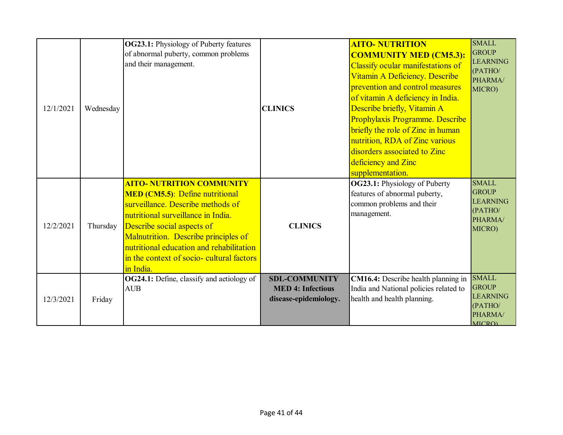| 12/1/2021 | Wednesday | <b>OG23.1:</b> Physiology of Puberty features<br>of abnormal puberty, common problems<br>and their management.                                                                                                                                                                                                                    | <b>CLINICS</b>                                                            | <b>AITO- NUTRITION</b><br><b>COMMUNITY MED (CM5.3):</b><br>Classify ocular manifestations of<br>Vitamin A Deficiency. Describe<br>prevention and control measures<br>of vitamin A deficiency in India.<br>Describe briefly, Vitamin A<br>Prophylaxis Programme. Describe<br>briefly the role of Zinc in human<br>nutrition, RDA of Zinc various<br>disorders associated to Zinc<br>deficiency and Zinc<br>supplementation. | <b>SMALL</b><br><b>GROUP</b><br><b>LEARNING</b><br>(PATHO/<br>PHARMA/<br>MICRO)        |
|-----------|-----------|-----------------------------------------------------------------------------------------------------------------------------------------------------------------------------------------------------------------------------------------------------------------------------------------------------------------------------------|---------------------------------------------------------------------------|----------------------------------------------------------------------------------------------------------------------------------------------------------------------------------------------------------------------------------------------------------------------------------------------------------------------------------------------------------------------------------------------------------------------------|----------------------------------------------------------------------------------------|
| 12/2/2021 | Thursday  | <b>AITO- NUTRITION COMMUNITY</b><br><b>MED</b> (CM5.5): Define nutritional<br>surveillance. Describe methods of<br>nutritional surveillance in India.<br>Describe social aspects of<br>Malnutrition. Describe principles of<br>nutritional education and rehabilitation<br>in the context of socio- cultural factors<br>in India. | <b>CLINICS</b>                                                            | OG23.1: Physiology of Puberty<br>features of abnormal puberty,<br>common problems and their<br>management.                                                                                                                                                                                                                                                                                                                 | <b>SMALL</b><br><b>GROUP</b><br><b>LEARNING</b><br>(PATHO/<br>PHARMA/<br>MICRO)        |
| 12/3/2021 | Friday    | <b>OG24.1:</b> Define, classify and aetiology of<br><b>AUB</b>                                                                                                                                                                                                                                                                    | <b>SDL-COMMUNITY</b><br><b>MED 4: Infectious</b><br>disease-epidemiology. | CM16.4: Describe health planning in<br>India and National policies related to<br>health and health planning.                                                                                                                                                                                                                                                                                                               | <b>SMALL</b><br><b>GROUP</b><br><b>LEARNING</b><br>(PATHO/<br>PHARMA/<br><b>MICRO)</b> |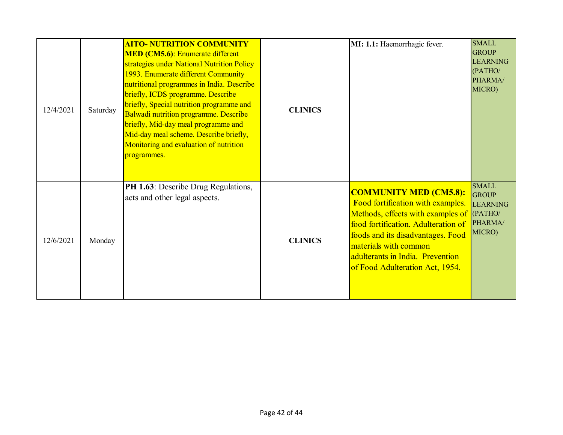| 12/4/2021 | Saturday | <b>AITO- NUTRITION COMMUNITY</b><br><b>MED</b> (CM5.6): Enumerate different<br>strategies under National Nutrition Policy<br>1993. Enumerate different Community<br>nutritional programmes in India. Describe<br>briefly, ICDS programme. Describe<br>briefly, Special nutrition programme and<br>Balwadi nutrition programme. Describe<br>briefly, Mid-day meal programme and<br>Mid-day meal scheme. Describe briefly,<br>Monitoring and evaluation of nutrition<br>programmes. | <b>CLINICS</b> | MI: 1.1: Haemorrhagic fever.                                                                                                                                                                                                                                                                | <b>SMALL</b><br><b>GROUP</b><br><b>LEARNING</b><br>(PATHO/<br>PHARMA/<br>MICRO) |
|-----------|----------|-----------------------------------------------------------------------------------------------------------------------------------------------------------------------------------------------------------------------------------------------------------------------------------------------------------------------------------------------------------------------------------------------------------------------------------------------------------------------------------|----------------|---------------------------------------------------------------------------------------------------------------------------------------------------------------------------------------------------------------------------------------------------------------------------------------------|---------------------------------------------------------------------------------|
| 12/6/2021 | Monday   | PH 1.63: Describe Drug Regulations,<br>acts and other legal aspects.                                                                                                                                                                                                                                                                                                                                                                                                              | <b>CLINICS</b> | <b>COMMUNITY MED (CM5.8):</b><br>Food fortification with examples.<br>Methods, effects with examples of (PATHO/<br>food fortification. Adulteration of<br>foods and its disadvantages. Food<br>materials with common<br>adulterants in India. Prevention<br>of Food Adulteration Act, 1954. | <b>SMALL</b><br><b>GROUP</b><br><b>LEARNING</b><br>PHARMA/<br>MICRO)            |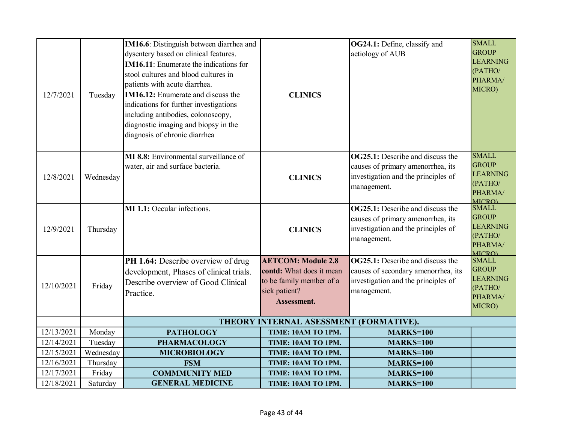| IM16.6: Distinguish between diarrhea and<br>OG24.1: Define, classify and<br>dysentery based on clinical features.<br>aetiology of AUB<br><b>IM16.11:</b> Enumerate the indications for<br>stool cultures and blood cultures in<br>patients with acute diarrhea.<br><b>IM16.12:</b> Enumerate and discuss the<br>12/7/2021<br><b>CLINICS</b><br>Tuesday<br>indications for further investigations<br>including antibodies, colonoscopy,<br>diagnostic imaging and biopsy in the<br>diagnosis of chronic diarrhea | <b>SMALL</b><br><b>GROUP</b><br><b>LEARNING</b><br>(PATHO/<br>PHARMA/<br>MICRO)        |
|-----------------------------------------------------------------------------------------------------------------------------------------------------------------------------------------------------------------------------------------------------------------------------------------------------------------------------------------------------------------------------------------------------------------------------------------------------------------------------------------------------------------|----------------------------------------------------------------------------------------|
| <b>MI 8.8:</b> Environmental surveillance of<br><b>OG25.1:</b> Describe and discuss the<br>causes of primary amenorrhea, its<br>water, air and surface bacteria.<br>investigation and the principles of<br>12/8/2021<br>Wednesday<br><b>CLINICS</b><br>management.                                                                                                                                                                                                                                              | <b>SMALL</b><br><b>GROUP</b><br><b>LEARNING</b><br>(PATHO/<br>PHARMA/<br><b>MICROL</b> |
| <b>OG25.1:</b> Describe and discuss the<br>MI 1.1: Occular infections.<br>causes of primary amenorrhea, its<br>investigation and the principles of<br>12/9/2021<br>Thursday<br><b>CLINICS</b><br>management.                                                                                                                                                                                                                                                                                                    | <b>SMALL</b><br><b>GROUP</b><br><b>LEARNING</b><br>(PATHO/<br>PHARMA/<br><b>MICRO)</b> |
| <b>OG25.1:</b> Describe and discuss the<br>PH 1.64: Describe overview of drug<br><b>AETCOM: Module 2.8</b><br>contd: What does it mean<br>causes of secondary amenorrhea, its<br>development, Phases of clinical trials.<br>to be family member of a<br>investigation and the principles of<br>Describe overview of Good Clinical<br>12/10/2021<br>Friday<br>sick patient?<br>management.<br>Practice.<br>Assessment.                                                                                           | <b>SMALL</b><br><b>GROUP</b><br><b>LEARNING</b><br>(PATHO/<br>PHARMA/<br>MICRO)        |
| THEORY INTERNAL ASESSMENT (FORMATIVE).                                                                                                                                                                                                                                                                                                                                                                                                                                                                          |                                                                                        |
| 12/13/2021<br>Monday<br><b>PATHOLOGY</b><br>MARKS=100<br>TIME: 10AM TO 1PM.                                                                                                                                                                                                                                                                                                                                                                                                                                     |                                                                                        |
| 12/14/2021<br>Tuesday<br><b>PHARMACOLOGY</b><br>TIME: 10AM TO 1PM.<br><b>MARKS=100</b>                                                                                                                                                                                                                                                                                                                                                                                                                          |                                                                                        |
| Wednesday<br>12/15/2021<br><b>MICROBIOLOGY</b><br><b>MARKS=100</b><br>TIME: 10AM TO 1PM.                                                                                                                                                                                                                                                                                                                                                                                                                        |                                                                                        |
| 12/16/2021<br>Thursday<br><b>FSM</b><br>TIME: 10AM TO 1PM.<br><b>MARKS=100</b><br><b>COMMMUNITY MED</b>                                                                                                                                                                                                                                                                                                                                                                                                         |                                                                                        |
| 12/17/2021<br>Friday<br><b>MARKS=100</b><br>TIME: 10AM TO 1PM.<br>12/18/2021<br><b>GENERAL MEDICINE</b><br>Saturday<br><b>MARKS=100</b><br>TIME: 10AM TO 1PM.                                                                                                                                                                                                                                                                                                                                                   |                                                                                        |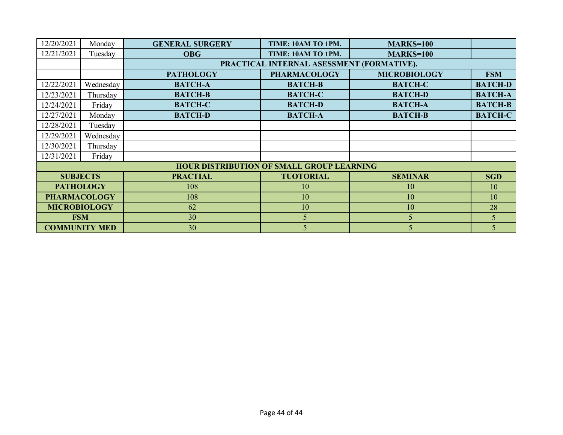| 12/20/2021           | Monday          | <b>GENERAL SURGERY</b> | TIME: 10AM TO 1PM.                               | <b>MARKS=100</b>    |                |
|----------------------|-----------------|------------------------|--------------------------------------------------|---------------------|----------------|
| 12/21/2021           | Tuesday         | <b>OBG</b>             | TIME: 10AM TO 1PM.                               | <b>MARKS=100</b>    |                |
|                      |                 |                        | PRACTICAL INTERNAL ASESSMENT (FORMATIVE).        |                     |                |
|                      |                 | <b>PATHOLOGY</b>       | <b>PHARMACOLOGY</b>                              | <b>MICROBIOLOGY</b> | <b>FSM</b>     |
| 12/22/2021           | Wednesday       | <b>BATCH-A</b>         | <b>BATCH-B</b>                                   | <b>BATCH-C</b>      | <b>BATCH-D</b> |
| 12/23/2021           | Thursday        | <b>BATCH-B</b>         | <b>BATCH-C</b>                                   | <b>BATCH-D</b>      | <b>BATCH-A</b> |
| 12/24/2021           | Friday          | <b>BATCH-C</b>         | <b>BATCH-D</b>                                   | <b>BATCH-A</b>      | <b>BATCH-B</b> |
| 12/27/2021           | Monday          | <b>BATCH-D</b>         | <b>BATCH-A</b>                                   | <b>BATCH-B</b>      | <b>BATCH-C</b> |
| 12/28/2021           | Tuesday         |                        |                                                  |                     |                |
| 12/29/2021           | Wednesday       |                        |                                                  |                     |                |
| 12/30/2021           | Thursday        |                        |                                                  |                     |                |
| 12/31/2021           | Friday          |                        |                                                  |                     |                |
|                      |                 |                        | <b>HOUR DISTRIBUTION OF SMALL GROUP LEARNING</b> |                     |                |
|                      | <b>SUBJECTS</b> | <b>PRACTIAL</b>        | <b>TUOTORIAL</b>                                 | <b>SEMINAR</b>      | <b>SGD</b>     |
| <b>PATHOLOGY</b>     |                 | 108                    | 10                                               | 10                  | 10             |
| <b>PHARMACOLOGY</b>  |                 | 108                    | 10                                               | 10                  | 10             |
| <b>MICROBIOLOGY</b>  |                 | 62                     | 10                                               | 10                  | 28             |
|                      | <b>FSM</b>      | 30                     | 5 <sup>5</sup>                                   | 5                   | 5              |
| <b>COMMUNITY MED</b> |                 | 30                     | 5                                                | 5                   | 5              |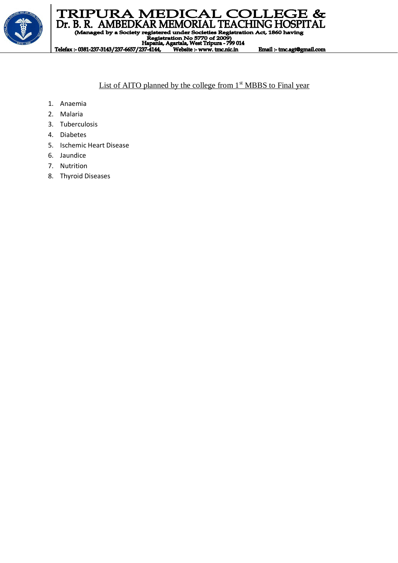

## TRIPURA MEDICAL COLLEGE & Dr. B. R. AMBEDKAR MEMORIAL TEACHING HOSPITAL

(Managed by a Society registered under Societies Registration Act, 1860 having

registered under Societies Registrati<br>Registration No 5770 of 2009)<br>Hapania, Agartala, West Tripura - 799 014<br>27 4144 - Meksite suurus tenesiste

Telefax:- 0381-237-3143/237-6657/237-4144, Website :- www. tmc.nic.in

# List of AITO planned by the college from  $1<sup>st</sup> MBBS$  to Final year

Email :- tmc.agt@gmail.com

- 1. Anaemia
- 2. Malaria
- 3. Tuberculosis
- 4. Diabetes
- 5. Ischemic Heart Disease
- 6. Jaundice
- 7. Nutrition
- 8. Thyroid Diseases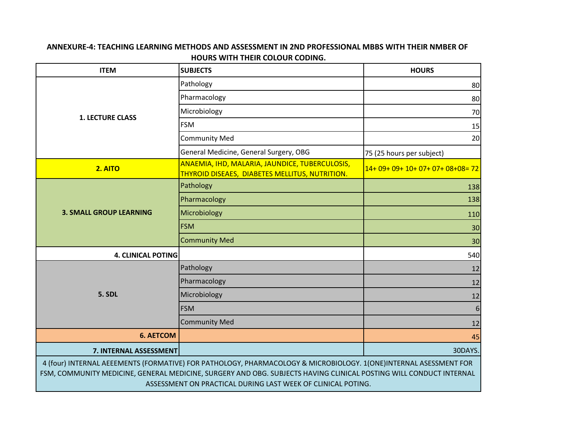### **ANNEXURE-4: TEACHING LEARNING METHODS AND ASSESSMENT IN 2ND PROFESSIONAL MBBS WITH THEIR NMBER OF HOURS WITH THEIR COLOUR CODING.**

| <b>ITEM</b>                                                                                                                                                                                                                                                                                            | <b>SUBJECTS</b>                                                                                  | <b>HOURS</b>                      |  |  |
|--------------------------------------------------------------------------------------------------------------------------------------------------------------------------------------------------------------------------------------------------------------------------------------------------------|--------------------------------------------------------------------------------------------------|-----------------------------------|--|--|
|                                                                                                                                                                                                                                                                                                        | Pathology                                                                                        | 80                                |  |  |
|                                                                                                                                                                                                                                                                                                        | Pharmacology                                                                                     | 80                                |  |  |
| <b>1. LECTURE CLASS</b>                                                                                                                                                                                                                                                                                | Microbiology                                                                                     | 70                                |  |  |
|                                                                                                                                                                                                                                                                                                        | <b>FSM</b>                                                                                       | 15                                |  |  |
|                                                                                                                                                                                                                                                                                                        | <b>Community Med</b>                                                                             | 20                                |  |  |
|                                                                                                                                                                                                                                                                                                        | General Medicine, General Surgery, OBG                                                           | 75 (25 hours per subject)         |  |  |
| 2. AITO                                                                                                                                                                                                                                                                                                | ANAEMIA, IHD, MALARIA, JAUNDICE, TUBERCULOSIS,<br>THYROID DISEAES, DIABETES MELLITUS, NUTRITION. | 14+ 09+ 09+ 10+ 07+ 07+ 08+08= 72 |  |  |
|                                                                                                                                                                                                                                                                                                        | Pathology                                                                                        | 138                               |  |  |
|                                                                                                                                                                                                                                                                                                        | Pharmacology                                                                                     | 138                               |  |  |
| <b>3. SMALL GROUP LEARNING</b>                                                                                                                                                                                                                                                                         | Microbiology                                                                                     | 110                               |  |  |
|                                                                                                                                                                                                                                                                                                        | <b>FSM</b>                                                                                       | 30                                |  |  |
|                                                                                                                                                                                                                                                                                                        | <b>Community Med</b>                                                                             | 30                                |  |  |
| <b>4. CLINICAL POTING</b>                                                                                                                                                                                                                                                                              |                                                                                                  | 540                               |  |  |
|                                                                                                                                                                                                                                                                                                        | Pathology                                                                                        | 12                                |  |  |
|                                                                                                                                                                                                                                                                                                        | Pharmacology                                                                                     | 12                                |  |  |
| 5. SDL                                                                                                                                                                                                                                                                                                 | Microbiology                                                                                     | 12                                |  |  |
|                                                                                                                                                                                                                                                                                                        | <b>FSM</b>                                                                                       | 6                                 |  |  |
|                                                                                                                                                                                                                                                                                                        | <b>Community Med</b>                                                                             | 12                                |  |  |
| <b>6. AETCOM</b>                                                                                                                                                                                                                                                                                       |                                                                                                  | 45                                |  |  |
| 30DAYS.<br>7. INTERNAL ASSESSMENT                                                                                                                                                                                                                                                                      |                                                                                                  |                                   |  |  |
| 4 (four) INTERNAL AEEEMENTS (FORMATIVE) FOR PATHOLOGY, PHARMACOLOGY & MICROBIOLOGY. 1(ONE)INTERNAL ASESSMENT FOR<br>FSM, COMMUNITY MEDICINE, GENERAL MEDICINE, SURGERY AND OBG. SUBJECTS HAVING CLINICAL POSTING WILL CONDUCT INTERNAL<br>ASSESSMENT ON PRACTICAL DURING LAST WEEK OF CLINICAL POTING. |                                                                                                  |                                   |  |  |